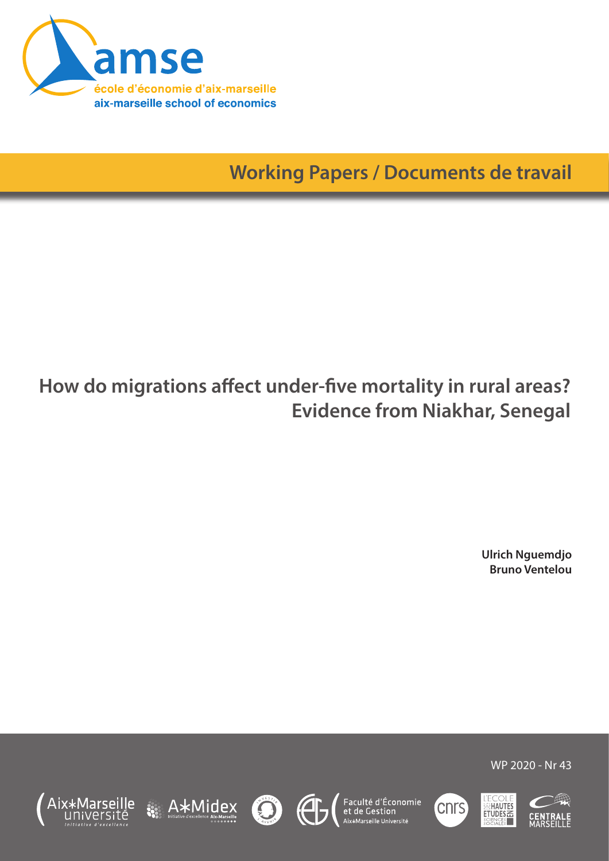

**Working Papers / Documents de travail**

# **How do migrations affect under-five mortality in rural areas? Evidence from Niakhar, Senegal**

**Ulrich Nguemdjo Bruno Ventelou**

WP 2020 - Nr 43













A\*Midex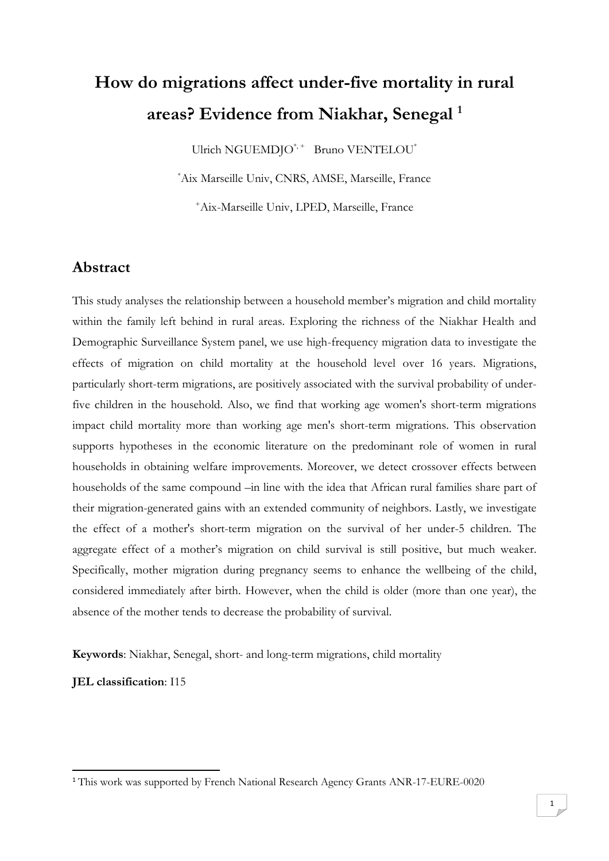# **How do migrations affect under-five mortality in rural areas? Evidence from Niakhar, Senegal <sup>1</sup>**

Ulrich NGUEMDJO<sup>\*,+</sup> Bruno VENTELOU<sup>\*</sup>

\*Aix Marseille Univ, CNRS, AMSE, Marseille, France

<sup>+</sup>Aix-Marseille Univ, LPED, Marseille, France

# **Abstract**

This study analyses the relationship between a household member's migration and child mortality within the family left behind in rural areas. Exploring the richness of the Niakhar Health and Demographic Surveillance System panel, we use high-frequency migration data to investigate the effects of migration on child mortality at the household level over 16 years. Migrations, particularly short-term migrations, are positively associated with the survival probability of underfive children in the household. Also, we find that working age women's short-term migrations impact child mortality more than working age men's short-term migrations. This observation supports hypotheses in the economic literature on the predominant role of women in rural households in obtaining welfare improvements. Moreover, we detect crossover effects between households of the same compound –in line with the idea that African rural families share part of their migration-generated gains with an extended community of neighbors. Lastly, we investigate the effect of a mother's short-term migration on the survival of her under-5 children. The aggregate effect of a mother's migration on child survival is still positive, but much weaker. Specifically, mother migration during pregnancy seems to enhance the wellbeing of the child, considered immediately after birth. However, when the child is older (more than one year), the absence of the mother tends to decrease the probability of survival.

**Keywords**: Niakhar, Senegal, short- and long-term migrations, child mortality

**JEL classification**: I15

1

<sup>1</sup> This work was supported by French National Research Agency Grants ANR-17-EURE-0020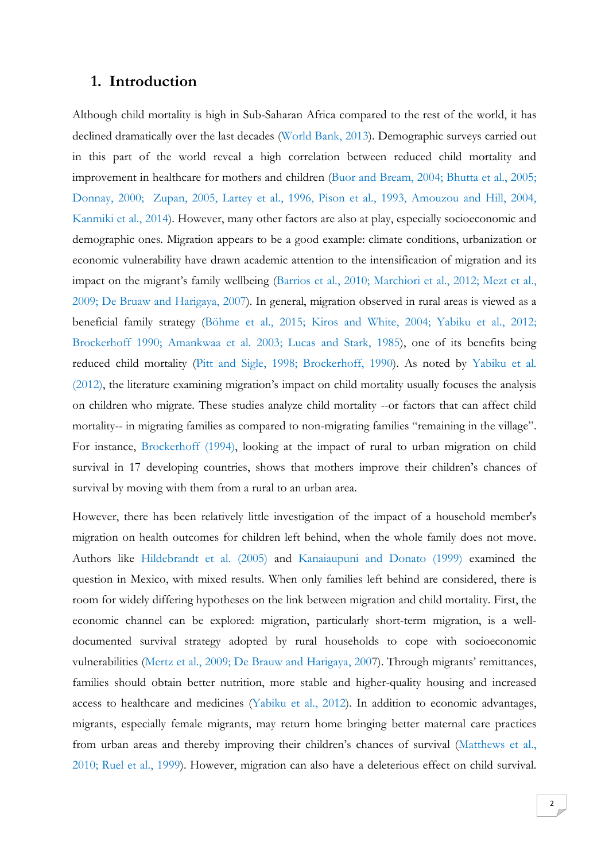### **1. Introduction**

Although child mortality is high in Sub-Saharan Africa compared to the rest of the world, it has declined dramatically over the last decades (World Bank, 2013). Demographic surveys carried out in this part of the world reveal a high correlation between reduced child mortality and improvement in healthcare for mothers and children (Buor and Bream, 2004; Bhutta et al., 2005; Donnay, 2000; Zupan, 2005, Lartey et al., 1996, Pison et al., 1993, Amouzou and Hill, 2004, Kanmiki et al., 2014). However, many other factors are also at play, especially socioeconomic and demographic ones. Migration appears to be a good example: climate conditions, urbanization or economic vulnerability have drawn academic attention to the intensification of migration and its impact on the migrant's family wellbeing (Barrios et al., 2010; Marchiori et al., 2012; Mezt et al., 2009; De Bruaw and Harigaya, 2007). In general, migration observed in rural areas is viewed as a beneficial family strategy (Böhme et al., 2015; Kiros and White, 2004; Yabiku et al., 2012; Brockerhoff 1990; Amankwaa et al. 2003; Lucas and Stark, 1985), one of its benefits being reduced child mortality (Pitt and Sigle, 1998; Brockerhoff, 1990). As noted by Yabiku et al. (2012), the literature examining migration's impact on child mortality usually focuses the analysis on children who migrate. These studies analyze child mortality --or factors that can affect child mortality-- in migrating families as compared to non-migrating families "remaining in the village". For instance, Brockerhoff (1994), looking at the impact of rural to urban migration on child survival in 17 developing countries, shows that mothers improve their children's chances of survival by moving with them from a rural to an urban area.

However, there has been relatively little investigation of the impact of a household member's migration on health outcomes for children left behind, when the whole family does not move. Authors like Hildebrandt et al. (2005) and Kanaiaupuni and Donato (1999) examined the question in Mexico, with mixed results. When only families left behind are considered, there is room for widely differing hypotheses on the link between migration and child mortality. First, the economic channel can be explored: migration, particularly short-term migration, is a welldocumented survival strategy adopted by rural households to cope with socioeconomic vulnerabilities (Mertz et al., 2009; De Brauw and Harigaya, 2007). Through migrants' remittances, families should obtain better nutrition, more stable and higher-quality housing and increased access to healthcare and medicines (Yabiku et al., 2012). In addition to economic advantages, migrants, especially female migrants, may return home bringing better maternal care practices from urban areas and thereby improving their children's chances of survival (Matthews et al., 2010; Ruel et al., 1999). However, migration can also have a deleterious effect on child survival.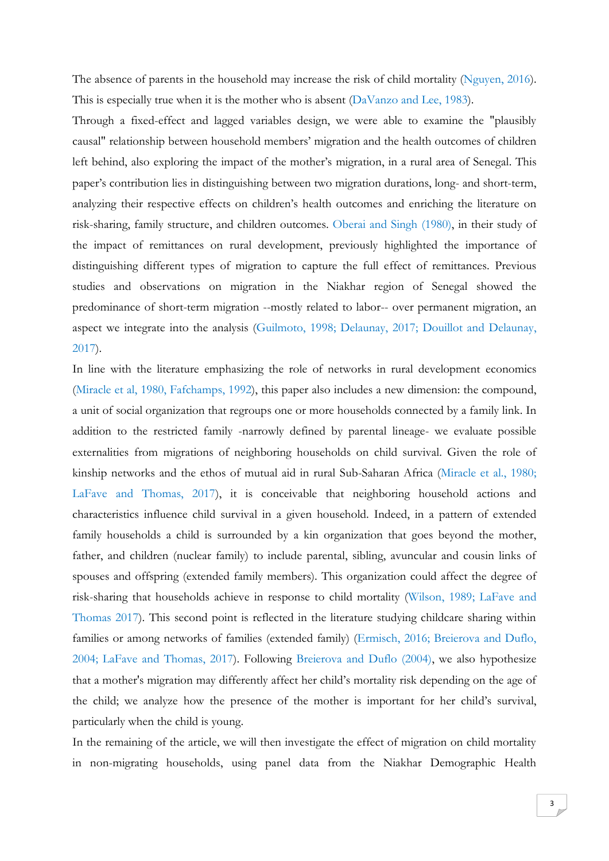The absence of parents in the household may increase the risk of child mortality (Nguyen, 2016). This is especially true when it is the mother who is absent (DaVanzo and Lee, 1983).

Through a fixed-effect and lagged variables design, we were able to examine the "plausibly causal" relationship between household members' migration and the health outcomes of children left behind, also exploring the impact of the mother's migration, in a rural area of Senegal. This paper's contribution lies in distinguishing between two migration durations, long- and short-term, analyzing their respective effects on children's health outcomes and enriching the literature on risk-sharing, family structure, and children outcomes. Oberai and Singh (1980), in their study of the impact of remittances on rural development, previously highlighted the importance of distinguishing different types of migration to capture the full effect of remittances. Previous studies and observations on migration in the Niakhar region of Senegal showed the predominance of short-term migration --mostly related to labor-- over permanent migration, an aspect we integrate into the analysis (Guilmoto, 1998; Delaunay, 2017; Douillot and Delaunay, 2017).

In line with the literature emphasizing the role of networks in rural development economics (Miracle et al, 1980, Fafchamps, 1992), this paper also includes a new dimension: the compound, a unit of social organization that regroups one or more households connected by a family link. In addition to the restricted family -narrowly defined by parental lineage- we evaluate possible externalities from migrations of neighboring households on child survival. Given the role of kinship networks and the ethos of mutual aid in rural Sub-Saharan Africa (Miracle et al., 1980; LaFave and Thomas, 2017), it is conceivable that neighboring household actions and characteristics influence child survival in a given household. Indeed, in a pattern of extended family households a child is surrounded by a kin organization that goes beyond the mother, father, and children (nuclear family) to include parental, sibling, avuncular and cousin links of spouses and offspring (extended family members). This organization could affect the degree of risk-sharing that households achieve in response to child mortality (Wilson, 1989; LaFave and Thomas 2017). This second point is reflected in the literature studying childcare sharing within families or among networks of families (extended family) (Ermisch, 2016; Breierova and Duflo, 2004; LaFave and Thomas, 2017). Following Breierova and Duflo (2004), we also hypothesize that a mother's migration may differently affect her child's mortality risk depending on the age of the child; we analyze how the presence of the mother is important for her child's survival, particularly when the child is young.

In the remaining of the article, we will then investigate the effect of migration on child mortality in non-migrating households, using panel data from the Niakhar Demographic Health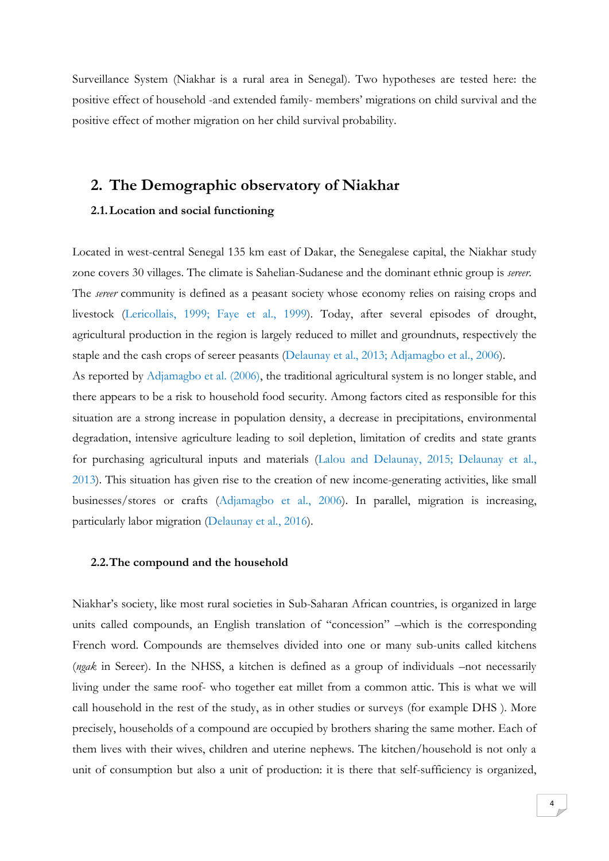Surveillance System (Niakhar is a rural area in Senegal). Two hypotheses are tested here: the positive effect of household -and extended family- members' migrations on child survival and the positive effect of mother migration on her child survival probability.

# **2. The Demographic observatory of Niakhar**

#### **2.1.Location and social functioning**

Located in west-central Senegal 135 km east of Dakar, the Senegalese capital, the Niakhar study zone covers 30 villages. The climate is Sahelian-Sudanese and the dominant ethnic group is *sereer*. The *sereer* community is defined as a peasant society whose economy relies on raising crops and livestock (Lericollais, 1999; Faye et al., 1999). Today, after several episodes of drought, agricultural production in the region is largely reduced to millet and groundnuts, respectively the staple and the cash crops of sereer peasants (Delaunay et al., 2013; Adjamagbo et al., 2006). As reported by Adjamagbo et al. (2006), the traditional agricultural system is no longer stable, and there appears to be a risk to household food security. Among factors cited as responsible for this situation are a strong increase in population density, a decrease in precipitations, environmental degradation, intensive agriculture leading to soil depletion, limitation of credits and state grants for purchasing agricultural inputs and materials (Lalou and Delaunay, 2015; Delaunay et al., 2013). This situation has given rise to the creation of new income-generating activities, like small businesses/stores or crafts (Adjamagbo et al., 2006). In parallel, migration is increasing, particularly labor migration (Delaunay et al., 2016).

#### **2.2.The compound and the household**

Niakhar's society, like most rural societies in Sub-Saharan African countries, is organized in large units called compounds, an English translation of "concession" –which is the corresponding French word. Compounds are themselves divided into one or many sub-units called kitchens (*ngak* in Sereer). In the NHSS, a kitchen is defined as a group of individuals –not necessarily living under the same roof- who together eat millet from a common attic. This is what we will call household in the rest of the study, as in other studies or surveys (for example DHS ). More precisely, households of a compound are occupied by brothers sharing the same mother. Each of them lives with their wives, children and uterine nephews. The kitchen/household is not only a unit of consumption but also a unit of production: it is there that self-sufficiency is organized,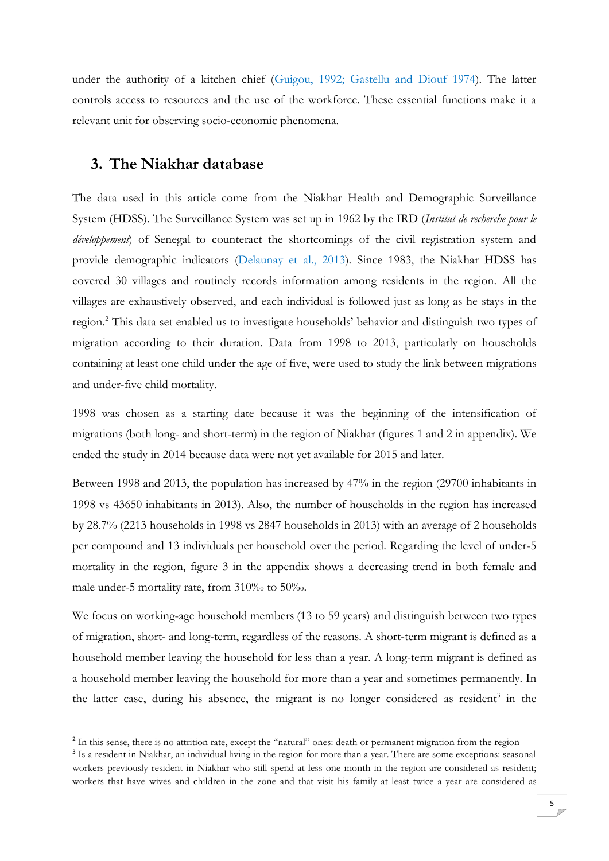under the authority of a kitchen chief (Guigou, 1992; Gastellu and Diouf 1974). The latter controls access to resources and the use of the workforce. These essential functions make it a relevant unit for observing socio-economic phenomena.

## **3. The Niakhar database**

**.** 

The data used in this article come from the Niakhar Health and Demographic Surveillance System (HDSS). The Surveillance System was set up in 1962 by the IRD (*Institut de recherche pour le développement*) of Senegal to counteract the shortcomings of the civil registration system and provide demographic indicators (Delaunay et al., 2013). Since 1983, the Niakhar HDSS has covered 30 villages and routinely records information among residents in the region. All the villages are exhaustively observed, and each individual is followed just as long as he stays in the region.<sup>2</sup> This data set enabled us to investigate households' behavior and distinguish two types of migration according to their duration. Data from 1998 to 2013, particularly on households containing at least one child under the age of five, were used to study the link between migrations and under-five child mortality.

1998 was chosen as a starting date because it was the beginning of the intensification of migrations (both long- and short-term) in the region of Niakhar (figures 1 and 2 in appendix). We ended the study in 2014 because data were not yet available for 2015 and later.

Between 1998 and 2013, the population has increased by 47% in the region (29700 inhabitants in 1998 vs 43650 inhabitants in 2013). Also, the number of households in the region has increased by 28.7% (2213 households in 1998 vs 2847 households in 2013) with an average of 2 households per compound and 13 individuals per household over the period. Regarding the level of under-5 mortality in the region, figure 3 in the appendix shows a decreasing trend in both female and male under-5 mortality rate, from 310‰ to 50‰.

We focus on working-age household members (13 to 59 years) and distinguish between two types of migration, short- and long-term, regardless of the reasons. A short-term migrant is defined as a household member leaving the household for less than a year. A long-term migrant is defined as a household member leaving the household for more than a year and sometimes permanently. In the latter case, during his absence, the migrant is no longer considered as resident<sup>3</sup> in the

<sup>&</sup>lt;sup>2</sup> In this sense, there is no attrition rate, except the "natural" ones: death or permanent migration from the region

<sup>&</sup>lt;sup>3</sup> Is a resident in Niakhar, an individual living in the region for more than a year. There are some exceptions: seasonal workers previously resident in Niakhar who still spend at less one month in the region are considered as resident; workers that have wives and children in the zone and that visit his family at least twice a year are considered as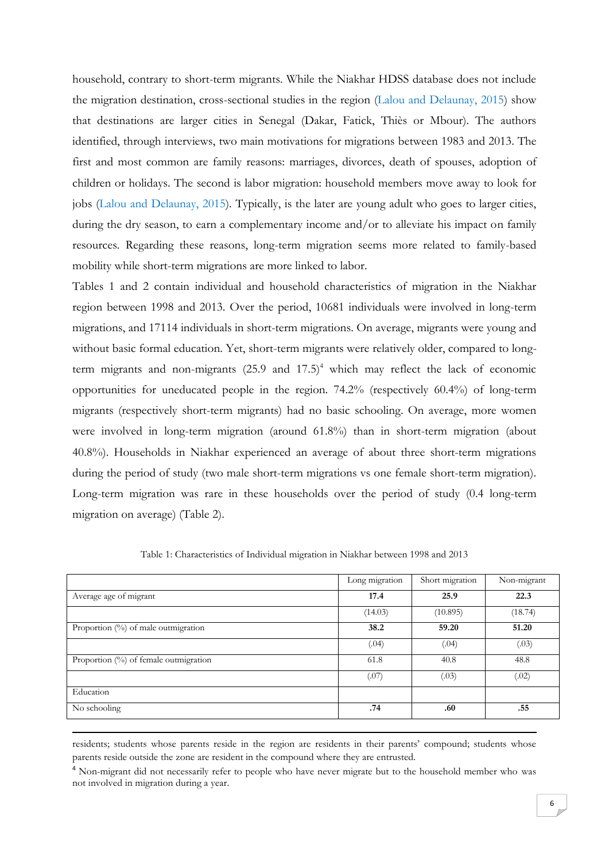household, contrary to short-term migrants. While the Niakhar HDSS database does not include the migration destination, cross-sectional studies in the region (Lalou and Delaunay, 2015) show that destinations are larger cities in Senegal (Dakar, Fatick, Thiès or Mbour). The authors identified, through interviews, two main motivations for migrations between 1983 and 2013. The first and most common are family reasons: marriages, divorces, death of spouses, adoption of children or holidays. The second is labor migration: household members move away to look for jobs (Lalou and Delaunay, 2015). Typically, is the later are young adult who goes to larger cities, during the dry season, to earn a complementary income and/or to alleviate his impact on family resources. Regarding these reasons, long-term migration seems more related to family-based mobility while short-term migrations are more linked to labor.

Tables 1 and 2 contain individual and household characteristics of migration in the Niakhar region between 1998 and 2013. Over the period, 10681 individuals were involved in long-term migrations, and 17114 individuals in short-term migrations. On average, migrants were young and without basic formal education. Yet, short-term migrants were relatively older, compared to longterm migrants and non-migrants  $(25.9 \text{ and } 17.5)^4$  which may reflect the lack of economic opportunities for uneducated people in the region. 74.2% (respectively 60.4%) of long-term migrants (respectively short-term migrants) had no basic schooling. On average, more women were involved in long-term migration (around 61.8%) than in short-term migration (about 40.8%). Households in Niakhar experienced an average of about three short-term migrations during the period of study (two male short-term migrations vs one female short-term migration). Long-term migration was rare in these households over the period of study (0.4 long-term migration on average) (Table 2).

|                                       | Long migration | Short migration | Non-migrant |
|---------------------------------------|----------------|-----------------|-------------|
| Average age of migrant                | 17.4           | 25.9            | 22.3        |
|                                       | (14.03)        | (10.895)        | (18.74)     |
| Proportion (%) of male outmigration   | 38.2           | 59.20           | 51.20       |
|                                       | (.04)          | (.04)           | (.03)       |
| Proportion (%) of female outmigration | 61.8           | 40.8            | 48.8        |
|                                       | (.07)          | (.03)           | (.02)       |
| Education                             |                |                 |             |
| No schooling                          | .74            | .60             | .55         |

Table 1: Characteristics of Individual migration in Niakhar between 1998 and 2013

residents; students whose parents reside in the region are residents in their parents' compound; students whose parents reside outside the zone are resident in the compound where they are entrusted.

**.** 

<sup>4</sup> Non-migrant did not necessarily refer to people who have never migrate but to the household member who was not involved in migration during a year.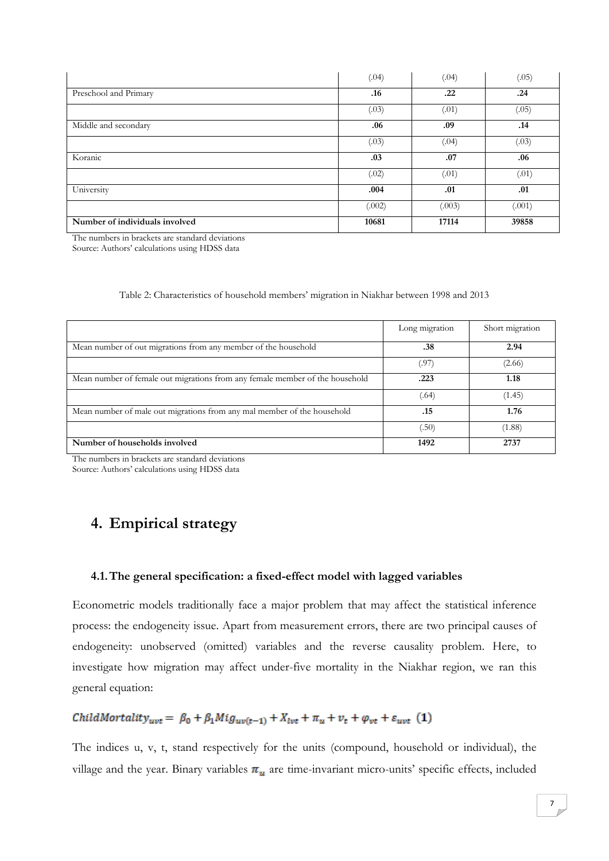|                                | (.04)  | (.04)  | (.05)  |
|--------------------------------|--------|--------|--------|
| Preschool and Primary          | .16    | .22    | .24    |
|                                | (.03)  | (.01)  | (.05)  |
| Middle and secondary           | .06    | .09    | .14    |
|                                | (.03)  | (.04)  | (.03)  |
| Koranic                        | .03    | .07    | .06    |
|                                | (.02)  | (.01)  | (.01)  |
| University                     | .004   | .01    | .01    |
|                                | (.002) | (.003) | (.001) |
| Number of individuals involved | 10681  | 17114  | 39858  |

The numbers in brackets are standard deviations

Source: Authors' calculations using HDSS data

| Table 2: Characteristics of household members' migration in Niakhar between 1998 and 2013 |  |  |  |
|-------------------------------------------------------------------------------------------|--|--|--|
|                                                                                           |  |  |  |

|                                                                              | Long migration | Short migration |
|------------------------------------------------------------------------------|----------------|-----------------|
| Mean number of out migrations from any member of the household               | .38            | 2.94            |
|                                                                              | (.97           | (2.66)          |
| Mean number of female out migrations from any female member of the household | .223           | 1.18            |
|                                                                              | (.64)          | (1.45)          |
| Mean number of male out migrations from any mal member of the household      | .15            | 1.76            |
|                                                                              | .50)           | (1.88)          |
| Number of households involved                                                | 1492           | 2737            |

The numbers in brackets are standard deviations Source: Authors' calculations using HDSS data

# **4. Empirical strategy**

#### **4.1.The general specification: a fixed-effect model with lagged variables**

Econometric models traditionally face a major problem that may affect the statistical inference process: the endogeneity issue. Apart from measurement errors, there are two principal causes of endogeneity: unobserved (omitted) variables and the reverse causality problem. Here, to investigate how migration may affect under-five mortality in the Niakhar region, we ran this general equation:

# ChildMortality<sub>uvt</sub> =  $\beta_0 + \beta_1 M i g_{uv(t-1)} + X_{ivt} + \pi_u + v_t + \varphi_{vt} + \varepsilon_{uvt}$  (1)

The indices u, v, t, stand respectively for the units (compound, household or individual), the village and the year. Binary variables  $\pi_u$  are time-invariant micro-units' specific effects, included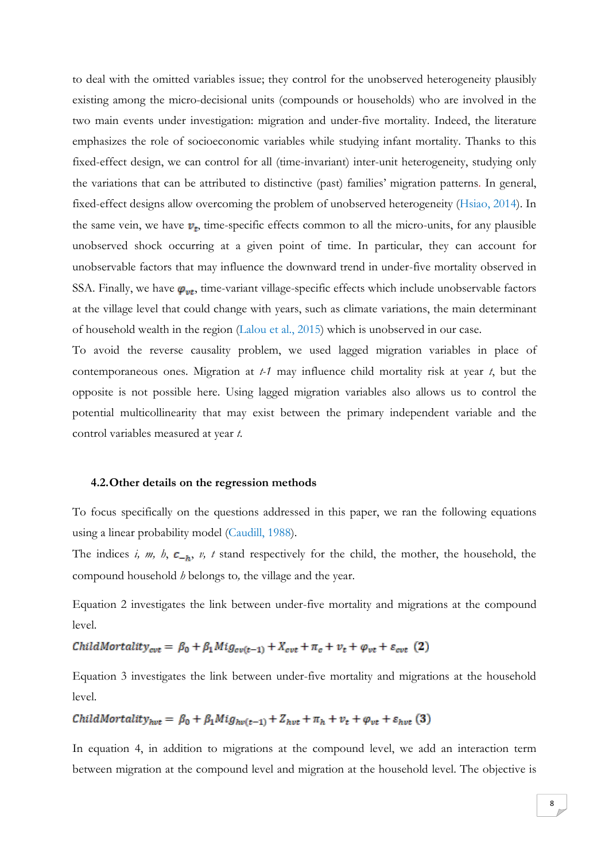to deal with the omitted variables issue; they control for the unobserved heterogeneity plausibly existing among the micro-decisional units (compounds or households) who are involved in the two main events under investigation: migration and under-five mortality. Indeed, the literature emphasizes the role of socioeconomic variables while studying infant mortality. Thanks to this fixed-effect design, we can control for all (time-invariant) inter-unit heterogeneity, studying only the variations that can be attributed to distinctive (past) families' migration patterns. In general, fixed-effect designs allow overcoming the problem of unobserved heterogeneity (Hsiao, 2014). In the same vein, we have  $v_t$ , time-specific effects common to all the micro-units, for any plausible unobserved shock occurring at a given point of time. In particular, they can account for unobservable factors that may influence the downward trend in under-five mortality observed in SSA. Finally, we have  $\varphi_{vt}$ , time-variant village-specific effects which include unobservable factors at the village level that could change with years, such as climate variations, the main determinant of household wealth in the region (Lalou et al., 2015) which is unobserved in our case.

To avoid the reverse causality problem, we used lagged migration variables in place of contemporaneous ones. Migration at *t-1* may influence child mortality risk at year *t*, but the opposite is not possible here. Using lagged migration variables also allows us to control the potential multicollinearity that may exist between the primary independent variable and the control variables measured at year *t*.

#### **4.2.Other details on the regression methods**

To focus specifically on the questions addressed in this paper, we ran the following equations using a linear probability model (Caudill, 1988).

The indices *i, m, h,*  $c_{-h}$ , *v, t* stand respectively for the child, the mother, the household, the compound household *h* belongs to*,* the village and the year.

Equation 2 investigates the link between under-five mortality and migrations at the compound level.

ChildMortality<sub>cvt</sub> =  $\beta_0 + \beta_1 M i g_{cv(t-1)} + X_{cvt} + \pi_c + v_t + \varphi_{vt} + \varepsilon_{cvt}$  (2)

Equation 3 investigates the link between under-five mortality and migrations at the household level.

$$
ChildMortality_{hvt} = \beta_0 + \beta_1 Mig_{hv(t-1)} + Z_{hvt} + \pi_h + v_t + \varphi_{vt} + \varepsilon_{hvt} \tag{3}
$$

In equation 4, in addition to migrations at the compound level, we add an interaction term between migration at the compound level and migration at the household level. The objective is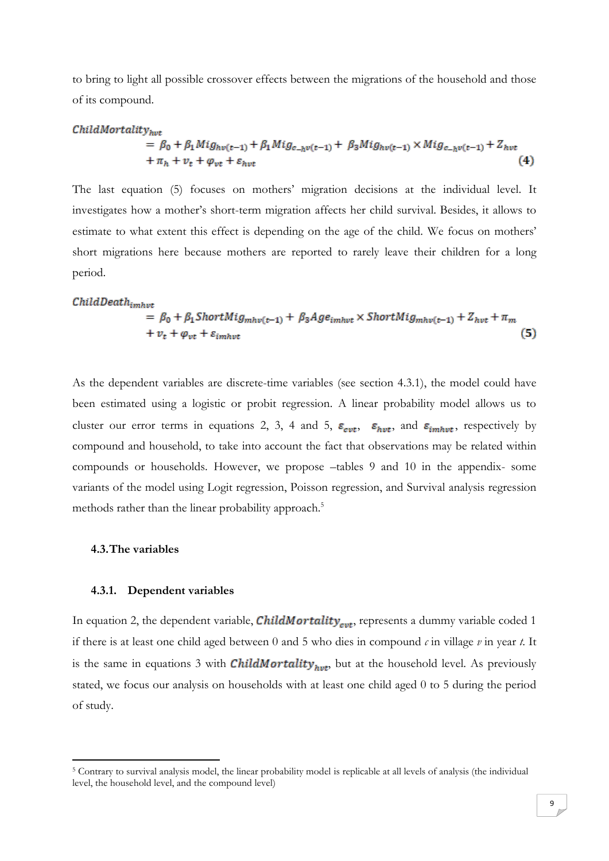to bring to light all possible crossover effects between the migrations of the household and those of its compound.

#### $ChildMortality_{n+r}$

$$
= \beta_0 + \beta_1 M i g_{hv(t-1)} + \beta_1 M i g_{c-h} v(t-1) + \beta_3 M i g_{hv(t-1)} \times M i g_{c-h} v(t-1) + Z_{hvt} + \pi_h + v_t + \varphi_{vt} + \varepsilon_{hvt}
$$
\n(4)

The last equation (5) focuses on mothers' migration decisions at the individual level. It investigates how a mother's short-term migration affects her child survival. Besides, it allows to estimate to what extent this effect is depending on the age of the child. We focus on mothers' short migrations here because mothers are reported to rarely leave their children for a long period.

### $ChildDeath_{imhvt}$

$$
= \beta_0 + \beta_1 ShortMig_{mhv(t-1)} + \beta_3 Age_{imhvt} \times ShortMig_{mhv(t-1)} + Z_{hvt} + \pi_m
$$
  
+  $v_t + \varphi_{vt} + \varepsilon_{imhvt}$  (5)

As the dependent variables are discrete-time variables (see section 4.3.1), the model could have been estimated using a logistic or probit regression. A linear probability model allows us to cluster our error terms in equations 2, 3, 4 and 5,  $\varepsilon_{\text{cut}}$ ,  $\varepsilon_{\text{hvt}}$ , and  $\varepsilon_{\text{imhvt}}$ , respectively by compound and household, to take into account the fact that observations may be related within compounds or households. However, we propose –tables 9 and 10 in the appendix- some variants of the model using Logit regression, Poisson regression, and Survival analysis regression methods rather than the linear probability approach.<sup>5</sup>

#### **4.3.The variables**

1

#### **4.3.1. Dependent variables**

In equation 2, the dependent variable, *ChildMortality<sub>cut</sub>*, represents a dummy variable coded 1 if there is at least one child aged between 0 and 5 who dies in compound *c* in village *v* in year *t*. It is the same in equations 3 with **ChildMortality**<sub>hvt</sub>, but at the household level. As previously stated, we focus our analysis on households with at least one child aged 0 to 5 during the period of study.

<sup>5</sup> Contrary to survival analysis model, the linear probability model is replicable at all levels of analysis (the individual level, the household level, and the compound level)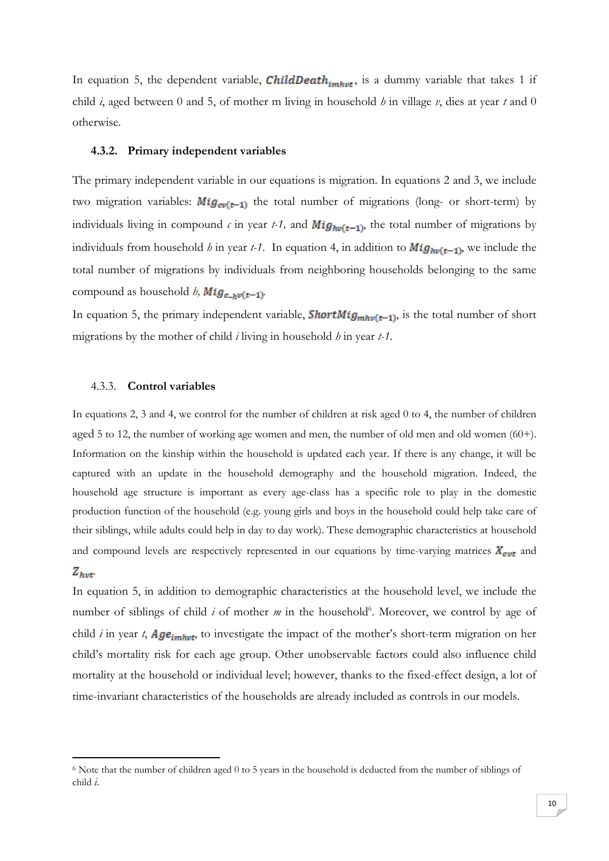In equation 5, the dependent variable, **ChildDeath**<sub>imhvt</sub>, is a dummy variable that takes 1 if child *i*, aged between 0 and 5, of mother m living in household *h* in village *v*, dies at year *t* and 0 otherwise.

#### **4.3.2. Primary independent variables**

The primary independent variable in our equations is migration. In equations 2 and 3, we include two migration variables:  $Mig_{cv(t-1)}$  the total number of migrations (long- or short-term) by individuals living in compound  $\epsilon$  in year *t-1*, and  $Mig_{hv(t-1)}$ , the total number of migrations by individuals from household *h* in year *t-1*. In equation 4, in addition to  $Mig_{hv(t-1)}$ , we include the total number of migrations by individuals from neighboring households belonging to the same compound as household *h*,  $Mig_{c-b\nu(t-1)}$ .

In equation 5, the primary independent variable, **ShortMig**<sub>mhv</sub>( $_{t-1}$ ), is the total number of short migrations by the mother of child *i* living in household *h* in year *t-1*.

#### 4.3.3. **Control variables**

1

In equations 2, 3 and 4, we control for the number of children at risk aged 0 to 4, the number of children aged 5 to 12, the number of working age women and men, the number of old men and old women (60+). Information on the kinship within the household is updated each year. If there is any change, it will be captured with an update in the household demography and the household migration. Indeed, the household age structure is important as every age-class has a specific role to play in the domestic production function of the household (e.g. young girls and boys in the household could help take care of their siblings, while adults could help in day to day work). These demographic characteristics at household and compound levels are respectively represented in our equations by time-varying matrices  $X_{\text{cut}}$  and  $Z_{hvt}$ 

In equation 5, in addition to demographic characteristics at the household level, we include the number of siblings of child *i* of mother *m* in the household<sup>6</sup>. Moreover, we control by age of child *i* in year *t*,  $Age_{imhwt}$ , to investigate the impact of the mother's short-term migration on her child's mortality risk for each age group. Other unobservable factors could also influence child mortality at the household or individual level; however, thanks to the fixed-effect design, a lot of time-invariant characteristics of the households are already included as controls in our models.

<sup>6</sup> Note that the number of children aged 0 to 5 years in the household is deducted from the number of siblings of child *i*.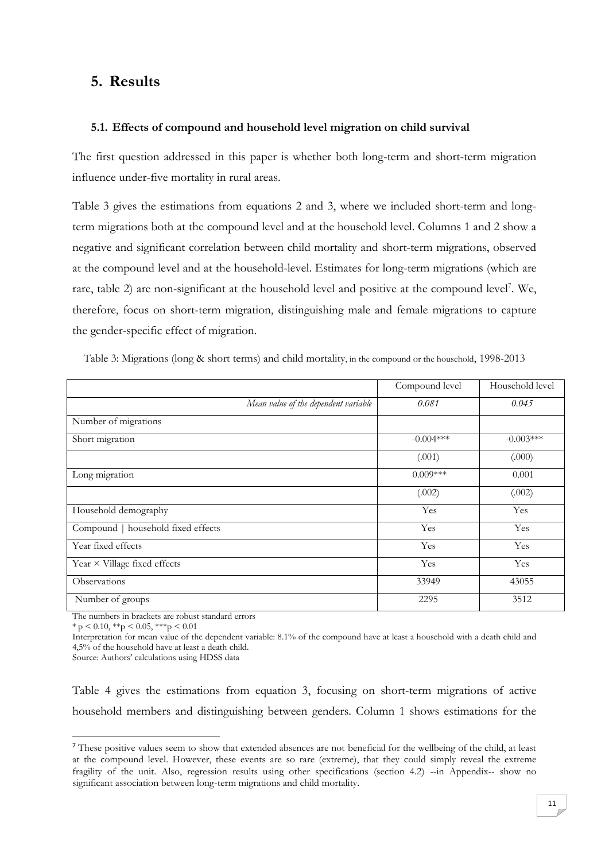# **5. Results**

#### **5.1. Effects of compound and household level migration on child survival**

The first question addressed in this paper is whether both long-term and short-term migration influence under-five mortality in rural areas.

Table 3 gives the estimations from equations 2 and 3, where we included short-term and longterm migrations both at the compound level and at the household level. Columns 1 and 2 show a negative and significant correlation between child mortality and short-term migrations, observed at the compound level and at the household-level. Estimates for long-term migrations (which are rare, table 2) are non-significant at the household level and positive at the compound level<sup>7</sup>. We, therefore, focus on short-term migration, distinguishing male and female migrations to capture the gender-specific effect of migration.

|                                      | Compound level | Household level |
|--------------------------------------|----------------|-----------------|
| Mean value of the dependent variable | 0.081          | 0.045           |
| Number of migrations                 |                |                 |
| Short migration                      | $-0.004***$    | $-0.003***$     |
|                                      | (.001)         | (.000)          |
| Long migration                       | $0.009***$     | 0.001           |
|                                      | (.002)         | (.002)          |
| Household demography                 | Yes            | Yes             |
| Compound   household fixed effects   | Yes            | Yes             |
| Year fixed effects                   | Yes            | Yes             |
| Year $\times$ Village fixed effects  | Yes            | Yes             |
| Observations                         | 33949          | 43055           |
| Number of groups                     | 2295           | 3512            |

Table 3: Migrations (long & short terms) and child mortality, in the compound or the household, 1998-2013

The numbers in brackets are robust standard errors

 $*$  p < 0.10,  $*$  $*$ p < 0.05,  $*$  $*$  $*$ p < 0.01

**.** 

Interpretation for mean value of the dependent variable: 8.1% of the compound have at least a household with a death child and 4,5% of the household have at least a death child.

Source: Authors' calculations using HDSS data

Table 4 gives the estimations from equation 3, focusing on short-term migrations of active household members and distinguishing between genders. Column 1 shows estimations for the

<sup>&</sup>lt;sup>7</sup> These positive values seem to show that extended absences are not beneficial for the wellbeing of the child, at least at the compound level. However, these events are so rare (extreme), that they could simply reveal the extreme fragility of the unit. Also, regression results using other specifications (section 4.2) --in Appendix-- show no significant association between long-term migrations and child mortality.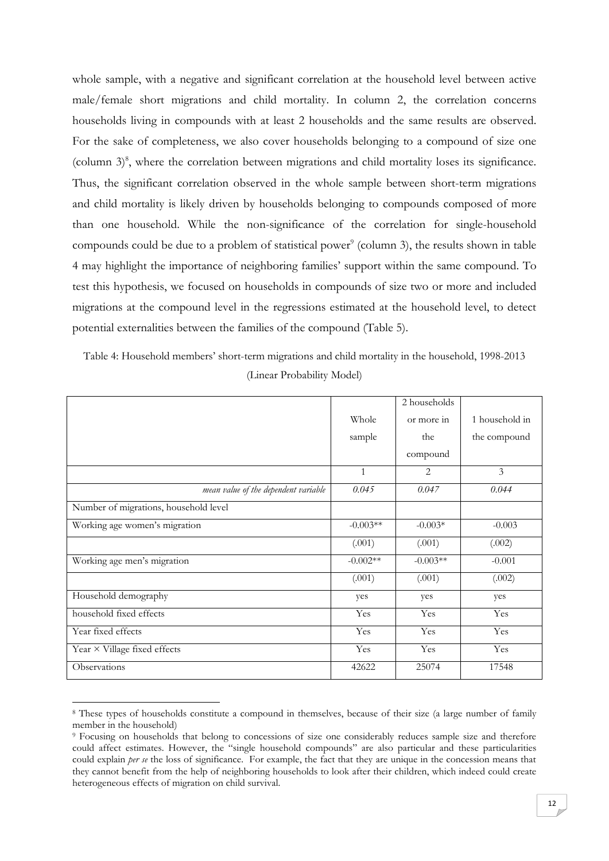whole sample, with a negative and significant correlation at the household level between active male/female short migrations and child mortality. In column 2, the correlation concerns households living in compounds with at least 2 households and the same results are observed. For the sake of completeness, we also cover households belonging to a compound of size one (column  $3)$ <sup>8</sup>, where the correlation between migrations and child mortality loses its significance. Thus, the significant correlation observed in the whole sample between short-term migrations and child mortality is likely driven by households belonging to compounds composed of more than one household. While the non-significance of the correlation for single-household compounds could be due to a problem of statistical power<sup>9</sup> (column 3), the results shown in table 4 may highlight the importance of neighboring families' support within the same compound. To test this hypothesis, we focused on households in compounds of size two or more and included migrations at the compound level in the regressions estimated at the household level, to detect potential externalities between the families of the compound (Table 5).

Table 4: Household members' short-term migrations and child mortality in the household, 1998-2013 (Linear Probability Model)

|                                       |              | 2 households |                |
|---------------------------------------|--------------|--------------|----------------|
|                                       | Whole        | or more in   | 1 household in |
|                                       | sample       | the          | the compound   |
|                                       |              | compound     |                |
|                                       | $\mathbf{1}$ | 2            | 3              |
| mean value of the dependent variable  | 0.045        | 0.047        | 0.044          |
| Number of migrations, household level |              |              |                |
| Working age women's migration         | $-0.003**$   | $-0.003*$    | $-0.003$       |
|                                       | (.001)       | (.001)       | (.002)         |
| Working age men's migration           | $-0.002**$   | $-0.003**$   | $-0.001$       |
|                                       | (.001)       | (.001)       | (.002)         |
| Household demography                  | yes          | yes          | yes            |
| household fixed effects               | Yes          | Yes          | Yes            |
| Year fixed effects                    | Yes          | Yes          | Yes            |
| Year × Village fixed effects          | Yes          | Yes          | Yes            |
| Observations                          | 42622        | 25074        | 17548          |

<sup>8</sup> These types of households constitute a compound in themselves, because of their size (a large number of family member in the household)

1

<sup>9</sup> Focusing on households that belong to concessions of size one considerably reduces sample size and therefore could affect estimates. However, the "single household compounds" are also particular and these particularities could explain *per se* the loss of significance. For example, the fact that they are unique in the concession means that they cannot benefit from the help of neighboring households to look after their children, which indeed could create heterogeneous effects of migration on child survival.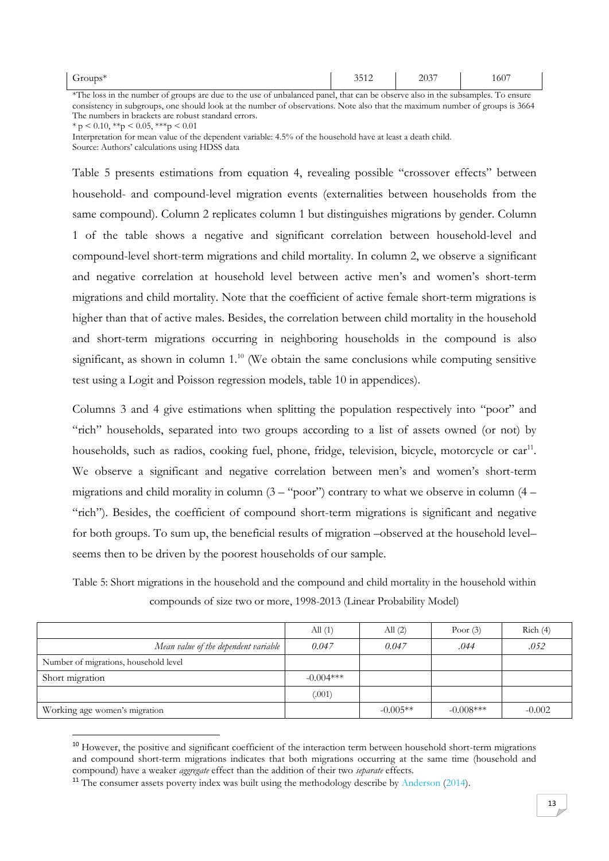| -<br>m <sup>2</sup><br>Groups      |  |  |  |  |  | 2.542<br>$\sim$ $\sim$<br>3312 |  | 2027<br>$\Delta$ UJ |  | 100 |  |
|------------------------------------|--|--|--|--|--|--------------------------------|--|---------------------|--|-----|--|
| <b><i><u>ALCOHOL: 2006</u></i></b> |  |  |  |  |  |                                |  |                     |  | --  |  |

\*The loss in the number of groups are due to the use of unbalanced panel, that can be observe also in the subsamples. To ensure consistency in subgroups, one should look at the number of observations. Note also that the maximum number of groups is 3664 The numbers in brackets are robust standard errors.

 $* p < 0.10, **p < 0.05, **p < 0.01$ 

1

Interpretation for mean value of the dependent variable: 4.5% of the household have at least a death child. Source: Authors' calculations using HDSS data

Table 5 presents estimations from equation 4, revealing possible "crossover effects" between household- and compound-level migration events (externalities between households from the same compound). Column 2 replicates column 1 but distinguishes migrations by gender. Column 1 of the table shows a negative and significant correlation between household-level and compound-level short-term migrations and child mortality. In column 2, we observe a significant and negative correlation at household level between active men's and women's short-term migrations and child mortality. Note that the coefficient of active female short-term migrations is higher than that of active males. Besides, the correlation between child mortality in the household and short-term migrations occurring in neighboring households in the compound is also significant, as shown in column  $1<sup>10</sup>$  (We obtain the same conclusions while computing sensitive test using a Logit and Poisson regression models, table 10 in appendices).

Columns 3 and 4 give estimations when splitting the population respectively into "poor" and "rich" households, separated into two groups according to a list of assets owned (or not) by households, such as radios, cooking fuel, phone, fridge, television, bicycle, motorcycle or  $car^{11}$ . We observe a significant and negative correlation between men's and women's short-term migrations and child morality in column  $(3 - "poor")$  contrary to what we observe in column  $(4 -$ "rich"). Besides, the coefficient of compound short-term migrations is significant and negative for both groups. To sum up, the beneficial results of migration –observed at the household level– seems then to be driven by the poorest households of our sample.

Table 5: Short migrations in the household and the compound and child mortality in the household within compounds of size two or more, 1998-2013 (Linear Probability Model)

|                                       | All $(1)$   | All $(2)$  | Poor $(3)$   | Rich(4)  |
|---------------------------------------|-------------|------------|--------------|----------|
| Mean value of the dependent variable  | 0.047       | 0.047      | .044         | .052     |
| Number of migrations, household level |             |            |              |          |
| Short migration                       | $-0.004***$ |            |              |          |
|                                       | (.001)      |            |              |          |
| Working age women's migration         |             | $-0.005**$ | $-0.008$ *** | $-0.002$ |

<sup>&</sup>lt;sup>10</sup> However, the positive and significant coefficient of the interaction term between household short-term migrations and compound short-term migrations indicates that both migrations occurring at the same time (household and compound) have a weaker *aggregate* effect than the addition of their two *separate* effects.

<sup>&</sup>lt;sup>11</sup> The consumer assets poverty index was built using the methodology describe by Anderson (2014).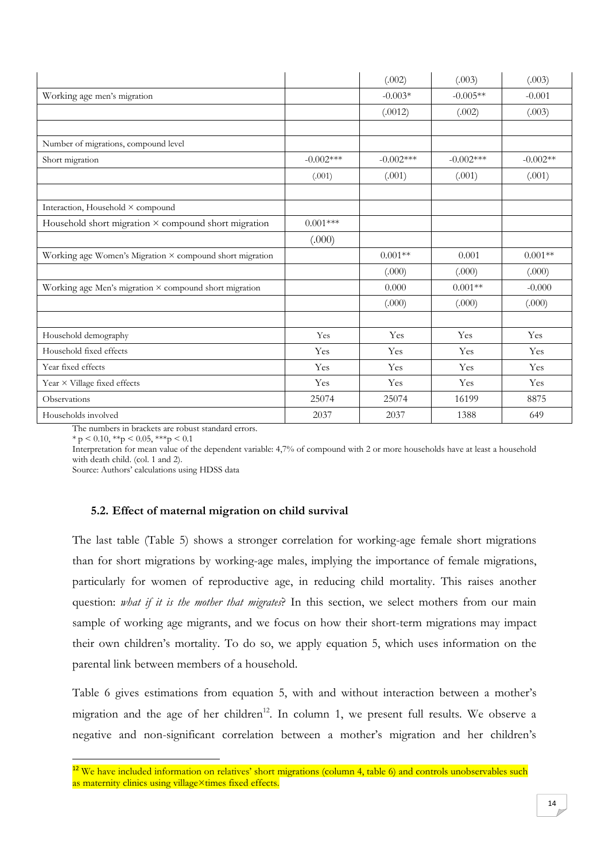|                                                          |             | (.002)      | (.003)       | (.003)     |
|----------------------------------------------------------|-------------|-------------|--------------|------------|
| Working age men's migration                              |             | $-0.003*$   | $-0.005**$   | $-0.001$   |
|                                                          |             | (.0012)     | (.002)       | (.003)     |
| Number of migrations, compound level                     |             |             |              |            |
| Short migration                                          | $-0.002***$ | $-0.002***$ | $-0.002$ *** | $-0.002**$ |
|                                                          | (.001)      | (.001)      | (.001)       | (.001)     |
| Interaction, Household × compound                        |             |             |              |            |
| Household short migration × compound short migration     | $0.001***$  |             |              |            |
|                                                          | (.000)      |             |              |            |
| Working age Women's Migration × compound short migration |             | $0.001**$   | 0.001        | $0.001**$  |
|                                                          |             | (.000)      | (.000)       | (.000)     |
| Working age Men's migration × compound short migration   |             | 0.000       | $0.001**$    | $-0.000$   |
|                                                          |             | (.000)      | (.000)       | (.000)     |
| Household demography                                     | Yes         | Yes         | Yes          | Yes        |
| Household fixed effects                                  | Yes         | Yes         | Yes          | Yes        |
| Year fixed effects                                       | Yes         | Yes         | Yes          | Yes        |
| Year × Village fixed effects                             | Yes         | Yes         | Yes          | Yes        |
| Observations                                             | 25074       | 25074       | 16199        | 8875       |
| Households involved                                      | 2037        | 2037        | 1388         | 649        |

The numbers in brackets are robust standard errors.

 $* p < 0.10, **p < 0.05, **p < 0.1$ 

**.** 

Interpretation for mean value of the dependent variable: 4,7% of compound with 2 or more households have at least a household with death child. (col. 1 and 2).

Source: Authors' calculations using HDSS data

### **5.2. Effect of maternal migration on child survival**

The last table (Table 5) shows a stronger correlation for working-age female short migrations than for short migrations by working-age males, implying the importance of female migrations, particularly for women of reproductive age, in reducing child mortality. This raises another question: *what if it is the mother that migrates*? In this section, we select mothers from our main sample of working age migrants, and we focus on how their short-term migrations may impact their own children's mortality. To do so, we apply equation 5, which uses information on the parental link between members of a household.

Table 6 gives estimations from equation 5, with and without interaction between a mother's migration and the age of her children<sup>12</sup>. In column 1, we present full results. We observe a negative and non-significant correlation between a mother's migration and her children's

<sup>&</sup>lt;sup>12</sup> We have included information on relatives' short migrations (column 4, table 6) and controls unobservables such as maternity clinics using village×times fixed effects.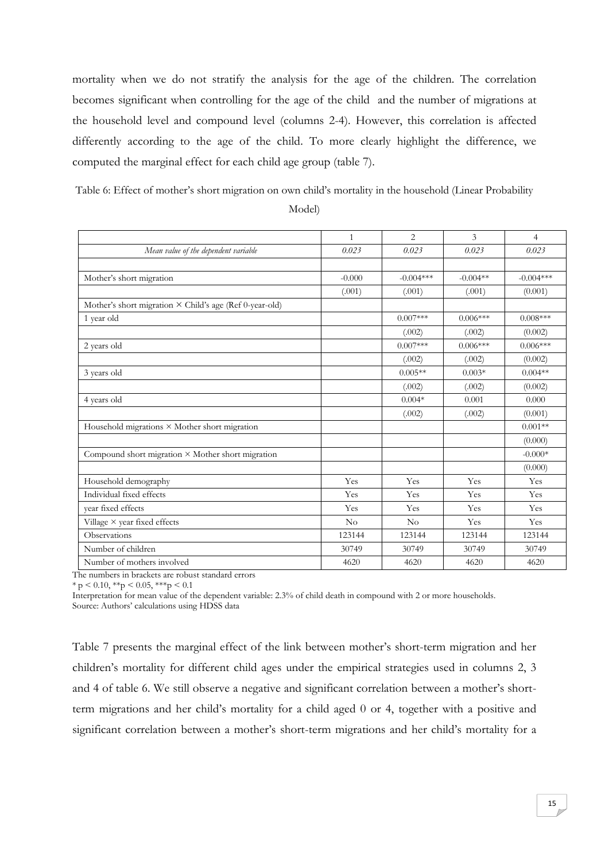mortality when we do not stratify the analysis for the age of the children. The correlation becomes significant when controlling for the age of the child and the number of migrations at the household level and compound level (columns 2-4). However, this correlation is affected differently according to the age of the child. To more clearly highlight the difference, we computed the marginal effect for each child age group (table 7).

Table 6: Effect of mother's short migration on own child's mortality in the household (Linear Probability

|                                                                | $\mathbf{1}$ | $\overline{2}$ | 3          | $\overline{4}$ |
|----------------------------------------------------------------|--------------|----------------|------------|----------------|
| Mean value of the dependent variable                           | 0.023        | 0.023          | 0.023      | 0.023          |
|                                                                |              |                |            |                |
| Mother's short migration                                       | $-0.000$     | $-0.004***$    | $-0.004**$ | $-0.004***$    |
|                                                                | (.001)       | (.001)         | (.001)     | (0.001)        |
| Mother's short migration $\times$ Child's age (Ref 0-year-old) |              |                |            |                |
| 1 year old                                                     |              | $0.007***$     | $0.006***$ | $0.008***$     |
|                                                                |              | (.002)         | (.002)     | (0.002)        |
| 2 years old                                                    |              | $0.007***$     | $0.006***$ | $0.006***$     |
|                                                                |              | (.002)         | (.002)     | (0.002)        |
| 3 years old                                                    |              | $0.005**$      | $0.003*$   | $0.004**$      |
|                                                                |              | (.002)         | (.002)     | (0.002)        |
| 4 years old                                                    |              | $0.004*$       | 0.001      | 0.000          |
|                                                                |              | (.002)         | (.002)     | (0.001)        |
| Household migrations × Mother short migration                  |              |                |            | $0.001**$      |
|                                                                |              |                |            | (0.000)        |
| Compound short migration × Mother short migration              |              |                |            | $-0.000*$      |
|                                                                |              |                |            | (0.000)        |
| Household demography                                           | Yes          | Yes            | Yes        | Yes            |
| Individual fixed effects                                       | Yes          | Yes            | Yes        | Yes            |
| year fixed effects                                             | Yes          | Yes            | Yes        | Yes            |
| Village $\times$ year fixed effects                            | No           | No             | Yes        | Yes            |
| Observations                                                   | 123144       | 123144         | 123144     | 123144         |
| Number of children                                             | 30749        | 30749          | 30749      | 30749          |
| Number of mothers involved                                     | 4620         | 4620           | 4620       | 4620           |

Model)

The numbers in brackets are robust standard errors

 $* p < 0.10, **p < 0.05, **p < 0.1$ 

Interpretation for mean value of the dependent variable: 2.3% of child death in compound with 2 or more households.

Source: Authors' calculations using HDSS data

Table 7 presents the marginal effect of the link between mother's short-term migration and her children's mortality for different child ages under the empirical strategies used in columns 2, 3 and 4 of table 6. We still observe a negative and significant correlation between a mother's shortterm migrations and her child's mortality for a child aged 0 or 4, together with a positive and significant correlation between a mother's short-term migrations and her child's mortality for a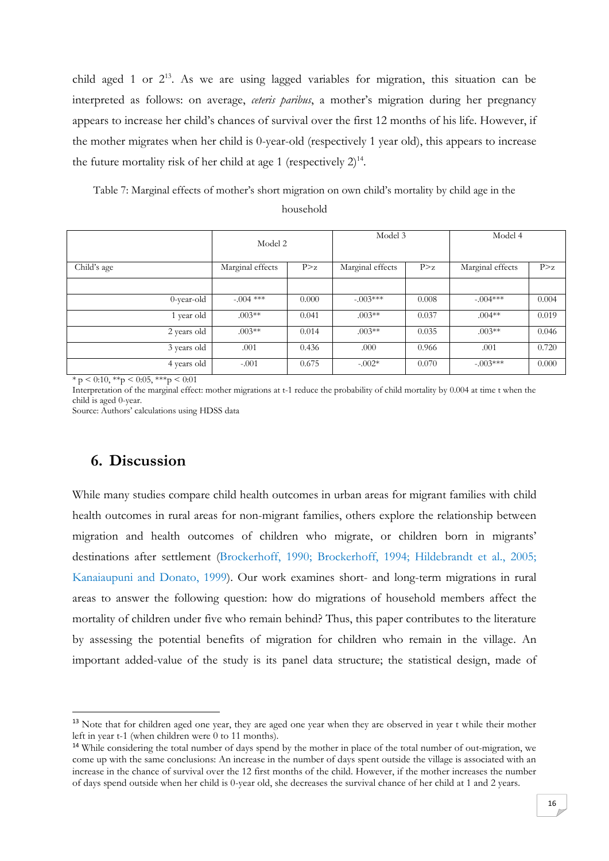child aged 1 or  $2^{13}$ . As we are using lagged variables for migration, this situation can be interpreted as follows: on average, *ceteris paribus*, a mother's migration during her pregnancy appears to increase her child's chances of survival over the first 12 months of his life. However, if the mother migrates when her child is 0-year-old (respectively 1 year old), this appears to increase the future mortality risk of her child at age 1 (respectively  $2)^{14}$ .

Table 7: Marginal effects of mother's short migration on own child's mortality by child age in the household

|               | Model 2          |       | Model 3          |       | Model 4          |       |  |
|---------------|------------------|-------|------------------|-------|------------------|-------|--|
| Child's age   | Marginal effects | P > z | Marginal effects | P > z | Marginal effects | P > z |  |
|               |                  |       |                  |       |                  |       |  |
| $0$ -year-old | $-.004$ ***      | 0.000 | $-.003***$       | 0.008 | $-.004***$       | 0.004 |  |
| 1 year old    | $.003**$         | 0.041 | $.003**$         | 0.037 | $.004**$         | 0.019 |  |
| 2 years old   | $.003**$         | 0.014 | $.003**$         | 0.035 | $.003**$         | 0.046 |  |
| 3 years old   | .001             | 0.436 | .000             | 0.966 | .001             | 0.720 |  |
| 4 years old   | $-.001$          | 0.675 | $-.002*$         | 0.070 | $-.003***$       | 0.000 |  |

 $* p < 0.10, **p < 0.05, **p < 0.01$ 

Interpretation of the marginal effect: mother migrations at t-1 reduce the probability of child mortality by 0.004 at time t when the child is aged 0-year.

Source: Authors' calculations using HDSS data

# **6. Discussion**

1

While many studies compare child health outcomes in urban areas for migrant families with child health outcomes in rural areas for non-migrant families, others explore the relationship between migration and health outcomes of children who migrate, or children born in migrants' destinations after settlement (Brockerhoff, 1990; Brockerhoff, 1994; Hildebrandt et al., 2005; Kanaiaupuni and Donato, 1999). Our work examines short- and long-term migrations in rural areas to answer the following question: how do migrations of household members affect the mortality of children under five who remain behind? Thus, this paper contributes to the literature by assessing the potential benefits of migration for children who remain in the village. An important added-value of the study is its panel data structure; the statistical design, made of

<sup>&</sup>lt;sup>13</sup> Note that for children aged one year, they are aged one year when they are observed in year t while their mother left in year t-1 (when children were 0 to 11 months).

<sup>&</sup>lt;sup>14</sup> While considering the total number of days spend by the mother in place of the total number of out-migration, we come up with the same conclusions: An increase in the number of days spent outside the village is associated with an increase in the chance of survival over the 12 first months of the child. However, if the mother increases the number of days spend outside when her child is 0-year old, she decreases the survival chance of her child at 1 and 2 years.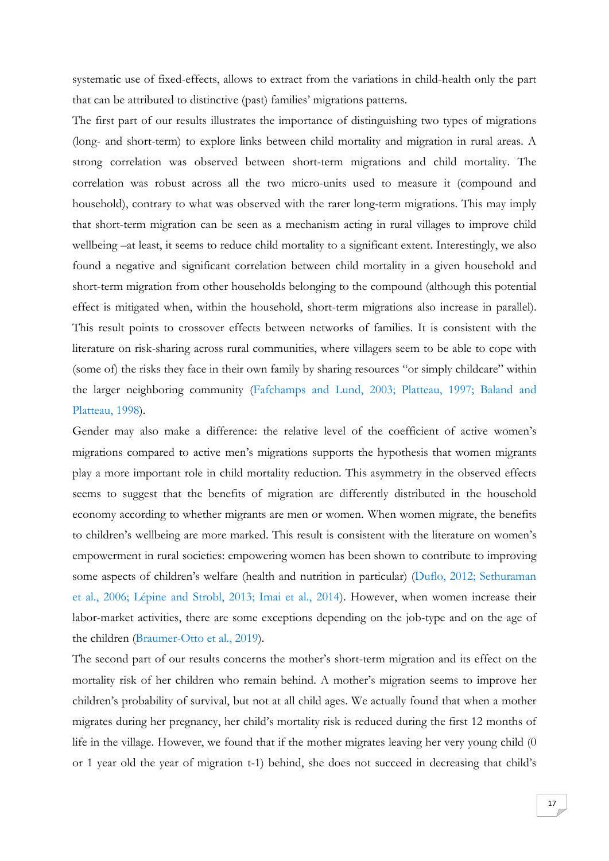systematic use of fixed-effects, allows to extract from the variations in child-health only the part that can be attributed to distinctive (past) families' migrations patterns.

The first part of our results illustrates the importance of distinguishing two types of migrations (long- and short-term) to explore links between child mortality and migration in rural areas. A strong correlation was observed between short-term migrations and child mortality. The correlation was robust across all the two micro-units used to measure it (compound and household), contrary to what was observed with the rarer long-term migrations. This may imply that short-term migration can be seen as a mechanism acting in rural villages to improve child wellbeing –at least, it seems to reduce child mortality to a significant extent. Interestingly, we also found a negative and significant correlation between child mortality in a given household and short-term migration from other households belonging to the compound (although this potential effect is mitigated when, within the household, short-term migrations also increase in parallel). This result points to crossover effects between networks of families. It is consistent with the literature on risk-sharing across rural communities, where villagers seem to be able to cope with (some of) the risks they face in their own family by sharing resources "or simply childcare" within the larger neighboring community (Fafchamps and Lund, 2003; Platteau, 1997; Baland and Platteau, 1998).

Gender may also make a difference: the relative level of the coefficient of active women's migrations compared to active men's migrations supports the hypothesis that women migrants play a more important role in child mortality reduction. This asymmetry in the observed effects seems to suggest that the benefits of migration are differently distributed in the household economy according to whether migrants are men or women. When women migrate, the benefits to children's wellbeing are more marked. This result is consistent with the literature on women's empowerment in rural societies: empowering women has been shown to contribute to improving some aspects of children's welfare (health and nutrition in particular) (Duflo, 2012; Sethuraman et al., 2006; Lépine and Strobl, 2013; Imai et al., 2014). However, when women increase their labor-market activities, there are some exceptions depending on the job-type and on the age of the children (Braumer-Otto et al., 2019).

The second part of our results concerns the mother's short-term migration and its effect on the mortality risk of her children who remain behind. A mother's migration seems to improve her children's probability of survival, but not at all child ages. We actually found that when a mother migrates during her pregnancy, her child's mortality risk is reduced during the first 12 months of life in the village. However, we found that if the mother migrates leaving her very young child (0 or 1 year old the year of migration t-1) behind, she does not succeed in decreasing that child's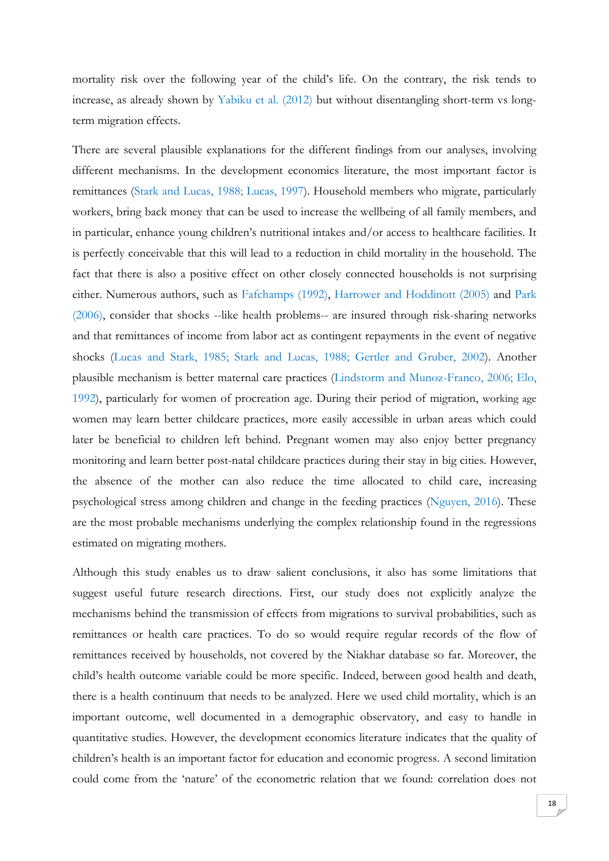mortality risk over the following year of the child's life. On the contrary, the risk tends to increase, as already shown by Yabiku et al. (2012) but without disentangling short-term vs longterm migration effects.

There are several plausible explanations for the different findings from our analyses, involving different mechanisms. In the development economics literature, the most important factor is remittances (Stark and Lucas, 1988; Lucas, 1997). Household members who migrate, particularly workers, bring back money that can be used to increase the wellbeing of all family members, and in particular, enhance young children's nutritional intakes and/or access to healthcare facilities. It is perfectly conceivable that this will lead to a reduction in child mortality in the household. The fact that there is also a positive effect on other closely connected households is not surprising either. Numerous authors, such as Fafchamps (1992), Harrower and Hoddinott (2005) and Park (2006), consider that shocks --like health problems-- are insured through risk-sharing networks and that remittances of income from labor act as contingent repayments in the event of negative shocks (Lucas and Stark, 1985; Stark and Lucas, 1988; Gertler and Gruber, 2002). Another plausible mechanism is better maternal care practices (Lindstorm and Munoz-Franco, 2006; Elo, 1992), particularly for women of procreation age. During their period of migration, working age women may learn better childcare practices, more easily accessible in urban areas which could later be beneficial to children left behind. Pregnant women may also enjoy better pregnancy monitoring and learn better post-natal childcare practices during their stay in big cities. However, the absence of the mother can also reduce the time allocated to child care, increasing psychological stress among children and change in the feeding practices (Nguyen, 2016). These are the most probable mechanisms underlying the complex relationship found in the regressions estimated on migrating mothers.

Although this study enables us to draw salient conclusions, it also has some limitations that suggest useful future research directions. First, our study does not explicitly analyze the mechanisms behind the transmission of effects from migrations to survival probabilities, such as remittances or health care practices. To do so would require regular records of the flow of remittances received by households, not covered by the Niakhar database so far. Moreover, the child's health outcome variable could be more specific. Indeed, between good health and death, there is a health continuum that needs to be analyzed. Here we used child mortality, which is an important outcome, well documented in a demographic observatory, and easy to handle in quantitative studies. However, the development economics literature indicates that the quality of children's health is an important factor for education and economic progress. A second limitation could come from the 'nature' of the econometric relation that we found: correlation does not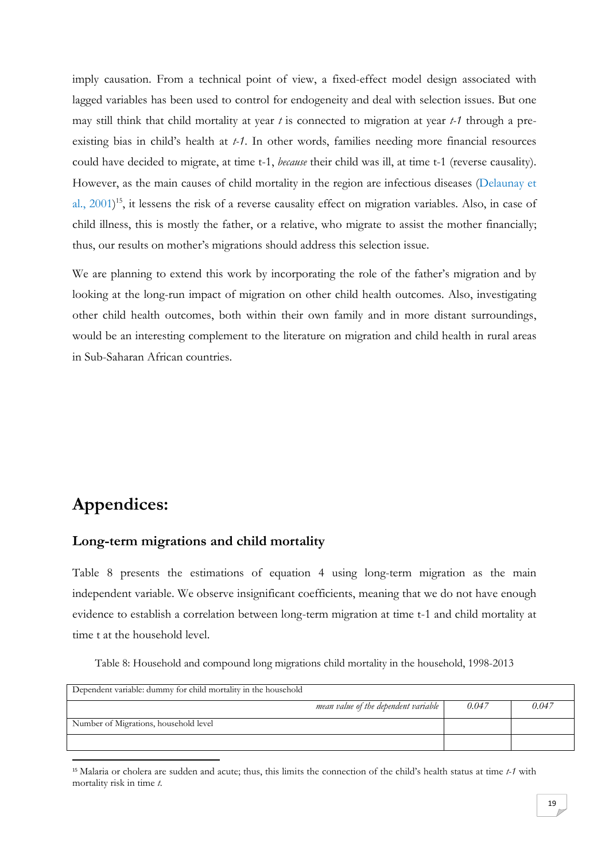imply causation. From a technical point of view, a fixed-effect model design associated with lagged variables has been used to control for endogeneity and deal with selection issues. But one may still think that child mortality at year *t* is connected to migration at year *t-1* through a preexisting bias in child's health at *t-1*. In other words, families needing more financial resources could have decided to migrate, at time t-1, *because* their child was ill, at time t-1 (reverse causality). However, as the main causes of child mortality in the region are infectious diseases (Delaunay et al., 2001)<sup>15</sup>, it lessens the risk of a reverse causality effect on migration variables. Also, in case of child illness, this is mostly the father, or a relative, who migrate to assist the mother financially; thus, our results on mother's migrations should address this selection issue.

We are planning to extend this work by incorporating the role of the father's migration and by looking at the long-run impact of migration on other child health outcomes. Also, investigating other child health outcomes, both within their own family and in more distant surroundings, would be an interesting complement to the literature on migration and child health in rural areas in Sub-Saharan African countries.

# **Appendices:**

1

## **Long-term migrations and child mortality**

Table 8 presents the estimations of equation 4 using long-term migration as the main independent variable. We observe insignificant coefficients, meaning that we do not have enough evidence to establish a correlation between long-term migration at time t-1 and child mortality at time t at the household level.

Table 8: Household and compound long migrations child mortality in the household, 1998-2013

| Dependent variable: dummy for child mortality in the household |                                      |       |       |
|----------------------------------------------------------------|--------------------------------------|-------|-------|
|                                                                | mean value of the dependent variable | 0.047 | 0.047 |
| Number of Migrations, household level                          |                                      |       |       |
|                                                                |                                      |       |       |

<sup>15</sup> Malaria or cholera are sudden and acute; thus, this limits the connection of the child's health status at time *t-1* with mortality risk in time *t*.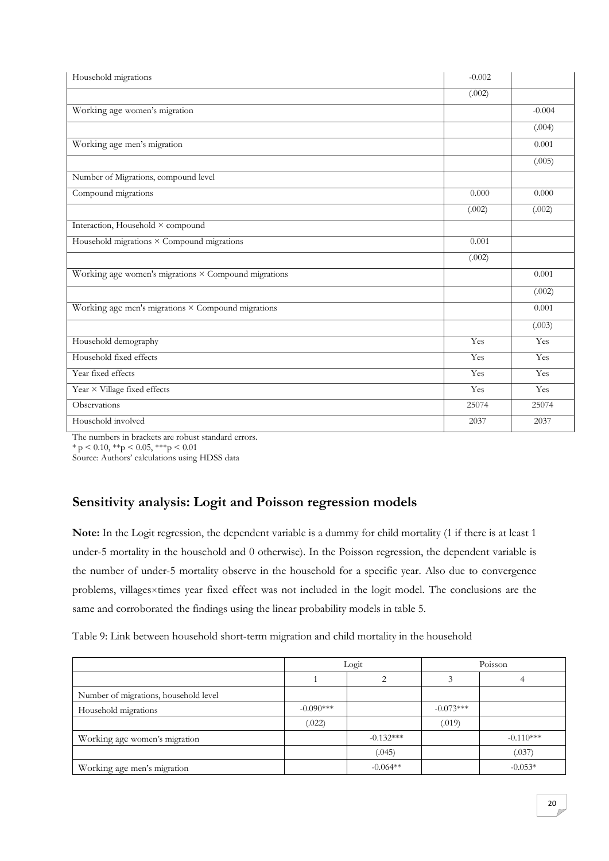| Household migrations                                 | $-0.002$ |          |
|------------------------------------------------------|----------|----------|
|                                                      | (.002)   |          |
| Working age women's migration                        |          | $-0.004$ |
|                                                      |          | (.004)   |
| Working age men's migration                          |          | 0.001    |
|                                                      |          | (0.005)  |
| Number of Migrations, compound level                 |          |          |
| Compound migrations                                  | 0.000    | 0.000    |
|                                                      | (.002)   | (.002)   |
| Interaction, Household × compound                    |          |          |
| Household migrations × Compound migrations           | 0.001    |          |
|                                                      | (.002)   |          |
| Working age women's migrations × Compound migrations |          | 0.001    |
|                                                      |          | (.002)   |
| Working age men's migrations × Compound migrations   |          | 0.001    |
|                                                      |          | (.003)   |
| Household demography                                 | Yes      | Yes      |
| Household fixed effects                              | Yes      | Yes      |
| Year fixed effects                                   | Yes      | Yes      |
| Year × Village fixed effects                         | Yes      | Yes      |
| Observations                                         | 25074    | 25074    |
| Household involved                                   | 2037     | 2037     |

The numbers in brackets are robust standard errors.

 $* p < 0.10, **p < 0.05, **p < 0.01$ 

Source: Authors' calculations using HDSS data

# **Sensitivity analysis: Logit and Poisson regression models**

**Note:** In the Logit regression, the dependent variable is a dummy for child mortality (1 if there is at least 1 under-5 mortality in the household and 0 otherwise). In the Poisson regression, the dependent variable is the number of under-5 mortality observe in the household for a specific year. Also due to convergence problems, villages×times year fixed effect was not included in the logit model. The conclusions are the same and corroborated the findings using the linear probability models in table 5.

Table 9: Link between household short-term migration and child mortality in the household

|                                       | Logit       |             | Poisson     |             |
|---------------------------------------|-------------|-------------|-------------|-------------|
|                                       |             |             |             |             |
| Number of migrations, household level |             |             |             |             |
| Household migrations                  | $-0.090***$ |             | $-0.073***$ |             |
|                                       | (.022)      |             | (.019)      |             |
| Working age women's migration         |             | $-0.132***$ |             | $-0.110***$ |
|                                       |             | (.045)      |             | (.037)      |
| Working age men's migration           |             | $-0.064**$  |             | $-0.053*$   |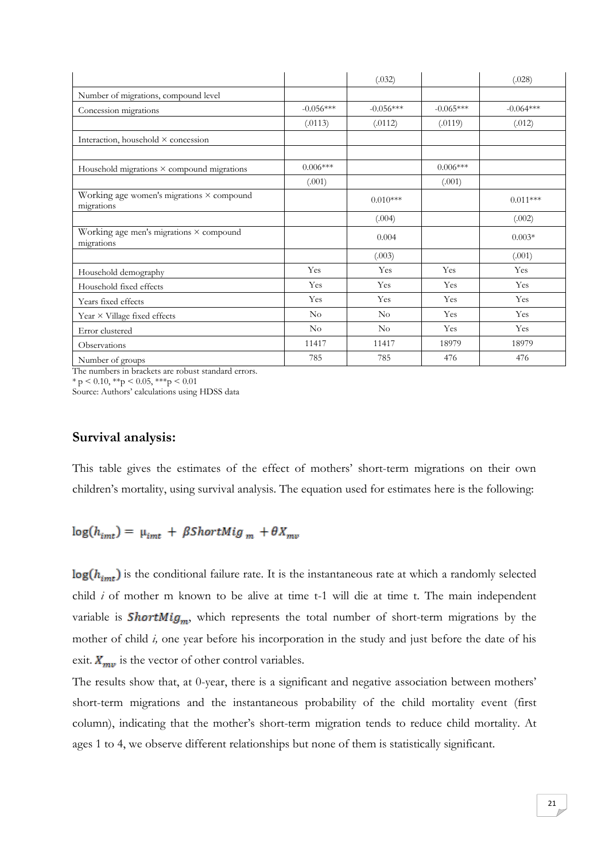|                                                              |                | (.032)      |             | (.028)      |
|--------------------------------------------------------------|----------------|-------------|-------------|-------------|
| Number of migrations, compound level                         |                |             |             |             |
| Concession migrations                                        | $-0.056***$    | $-0.056***$ | $-0.065***$ | $-0.064***$ |
|                                                              | (.0113)        | (.0112)     | (.0119)     | (.012)      |
| Interaction, household × concession                          |                |             |             |             |
| Household migrations $\times$ compound migrations            | $0.006***$     |             | $0.006***$  |             |
|                                                              | (.001)         |             | (.001)      |             |
| Working age women's migrations × compound<br>migrations      |                | $0.010***$  |             | $0.011***$  |
|                                                              |                | (.004)      |             | (.002)      |
| Working age men's migrations $\times$ compound<br>migrations |                | 0.004       |             | $0.003*$    |
|                                                              |                | (.003)      |             | (.001)      |
| Household demography                                         | Yes            | Yes         | Yes         | Yes         |
| Household fixed effects                                      | Yes            | Yes         | Yes         | Yes         |
| Years fixed effects                                          | Yes            | Yes         | Yes         | Yes         |
| Year $\times$ Village fixed effects                          | N <sub>o</sub> | No          | Yes         | Yes         |
| Error clustered                                              | $\rm No$       | $\rm No$    | Yes         | Yes         |
| Observations                                                 | 11417          | 11417       | 18979       | 18979       |
| Number of groups                                             | 785            | 785         | 476         | 476         |

The numbers in brackets are robust standard errors.

 $*$  p < 0.10,  $*$  $*$ p < 0.05,  $*$  $*$  $*$ p < 0.01

Source: Authors' calculations using HDSS data

## **Survival analysis:**

This table gives the estimates of the effect of mothers' short-term migrations on their own children's mortality, using survival analysis. The equation used for estimates here is the following:

$$
\log(h_{imt}) = \mu_{imt} + \beta ShortMig_m + \theta X_{mv}
$$

 $log(h_{int})$  is the conditional failure rate. It is the instantaneous rate at which a randomly selected child *i* of mother m known to be alive at time t-1 will die at time t. The main independent variable is **ShortMig<sub>m</sub>**, which represents the total number of short-term migrations by the mother of child *i,* one year before his incorporation in the study and just before the date of his exit.  $X_{mv}$  is the vector of other control variables.

The results show that, at 0-year, there is a significant and negative association between mothers' short-term migrations and the instantaneous probability of the child mortality event (first column), indicating that the mother's short-term migration tends to reduce child mortality. At ages 1 to 4, we observe different relationships but none of them is statistically significant.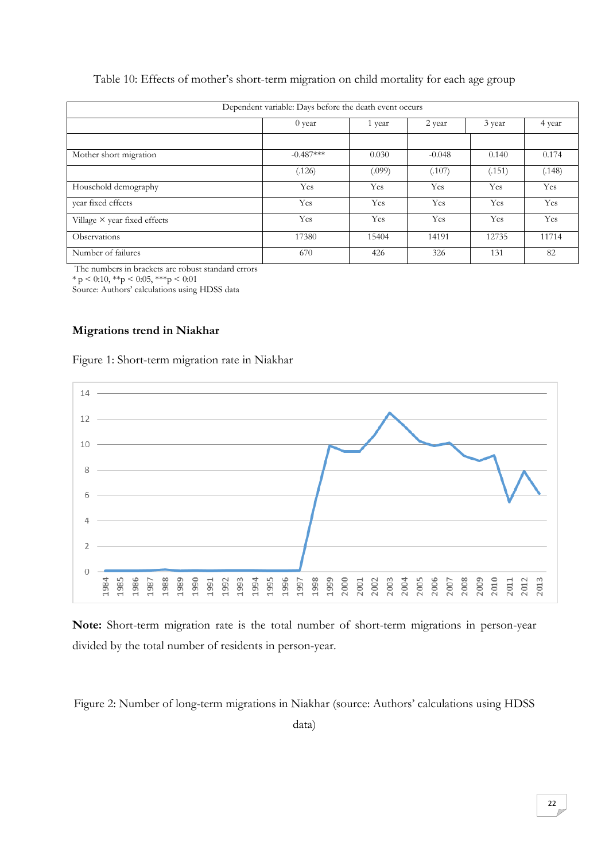| Table 10: Effects of mother's short-term migration on child mortality for each age group |  |  |
|------------------------------------------------------------------------------------------|--|--|
|                                                                                          |  |  |

| Dependent variable: Days before the death event occurs |             |        |          |        |        |
|--------------------------------------------------------|-------------|--------|----------|--------|--------|
|                                                        | 0 year      | 1 year | 2 year   | 3 year | 4 year |
|                                                        |             |        |          |        |        |
| Mother short migration                                 | $-0.487***$ | 0.030  | $-0.048$ | 0.140  | 0.174  |
|                                                        | (.126)      | (.099) | (.107)   | (.151) | (.148) |
| Household demography                                   | Yes         | Yes    | Yes      | Yes    | Yes    |
| year fixed effects                                     | Yes         | Yes    | Yes      | Yes    | Yes    |
| Village $\times$ year fixed effects                    | Yes         | Yes    | Yes      | Yes    | Yes    |
| Observations                                           | 17380       | 15404  | 14191    | 12735  | 11714  |
| Number of failures                                     | 670         | 426    | 326      | 131    | 82     |

The numbers in brackets are robust standard errors

 $* p < 0.10, ** p < 0.05, ** p < 0.01$ 

Source: Authors' calculations using HDSS data

#### **Migrations trend in Niakhar**





**Note:** Short-term migration rate is the total number of short-term migrations in person-year divided by the total number of residents in person-year.

Figure 2: Number of long-term migrations in Niakhar (source: Authors' calculations using HDSS

data)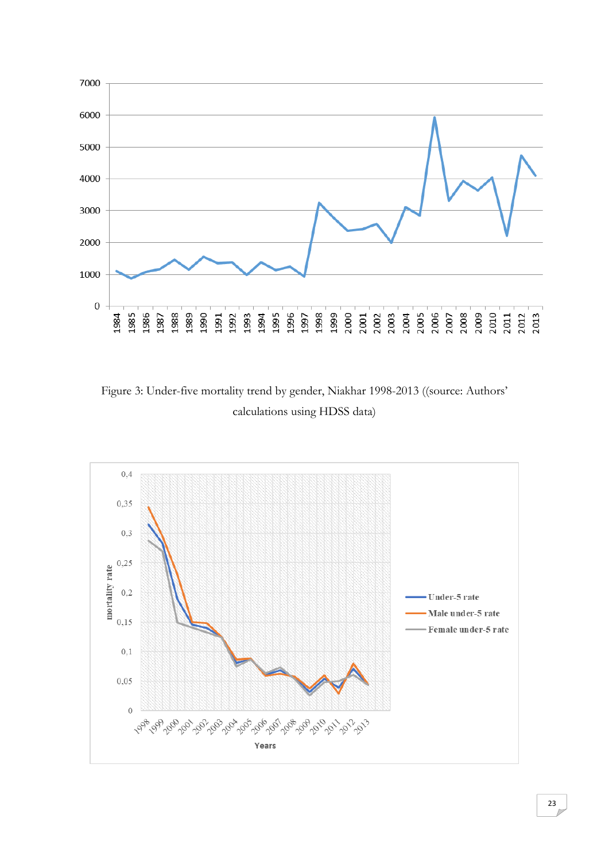

Figure 3: Under-five mortality trend by gender, Niakhar 1998-2013 ((source: Authors' calculations using HDSS data)

![](_page_23_Figure_2.jpeg)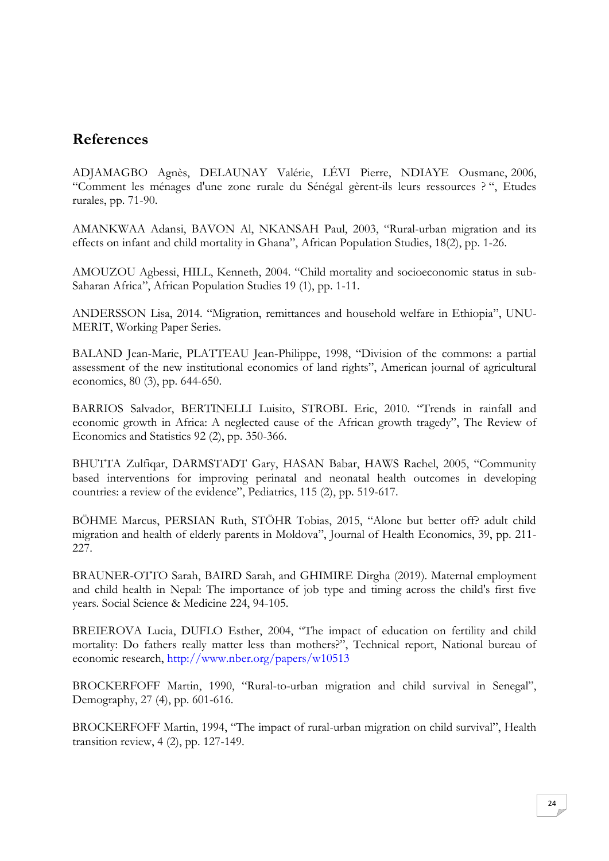# **References**

ADJAMAGBO Agnès, DELAUNAY Valérie, LÉVI Pierre, NDIAYE Ousmane, 2006, "Comment les ménages d'une zone rurale du Sénégal gèrent-ils leurs ressources ? ", Etudes rurales, pp. 71-90.

AMANKWAA Adansi, BAVON Al, NKANSAH Paul, 2003, "Rural-urban migration and its effects on infant and child mortality in Ghana", African Population Studies, 18(2), pp. 1-26.

AMOUZOU Agbessi, HILL, Kenneth, 2004. "Child mortality and socioeconomic status in sub-Saharan Africa", African Population Studies 19 (1), pp. 1-11.

ANDERSSON Lisa, 2014. "Migration, remittances and household welfare in Ethiopia", UNU-MERIT, Working Paper Series.

BALAND Jean-Marie, PLATTEAU Jean-Philippe, 1998, "Division of the commons: a partial assessment of the new institutional economics of land rights", American journal of agricultural economics, 80 (3), pp. 644-650.

BARRIOS Salvador, BERTINELLI Luisito, STROBL Eric, 2010. "Trends in rainfall and economic growth in Africa: A neglected cause of the African growth tragedy", The Review of Economics and Statistics 92 (2), pp. 350-366.

BHUTTA Zulfiqar, DARMSTADT Gary, HASAN Babar, HAWS Rachel, 2005, "Community based interventions for improving perinatal and neonatal health outcomes in developing countries: a review of the evidence", Pediatrics, 115 (2), pp. 519-617.

BÖHME Marcus, PERSIAN Ruth, STÖHR Tobias, 2015, "Alone but better off? adult child migration and health of elderly parents in Moldova", Journal of Health Economics, 39, pp. 211- 227.

BRAUNER-OTTO Sarah, BAIRD Sarah, and GHIMIRE Dirgha (2019). Maternal employment and child health in Nepal: The importance of job type and timing across the child's first five years. Social Science & Medicine 224, 94-105.

BREIEROVA Lucia, DUFLO Esther, 2004, "The impact of education on fertility and child mortality: Do fathers really matter less than mothers?", Technical report, National bureau of economic research, http://www.nber.org/papers/w10513

BROCKERFOFF Martin, 1990, "Rural-to-urban migration and child survival in Senegal", Demography, 27 (4), pp. 601-616.

BROCKERFOFF Martin, 1994, "The impact of rural-urban migration on child survival", Health transition review, 4 (2), pp. 127-149.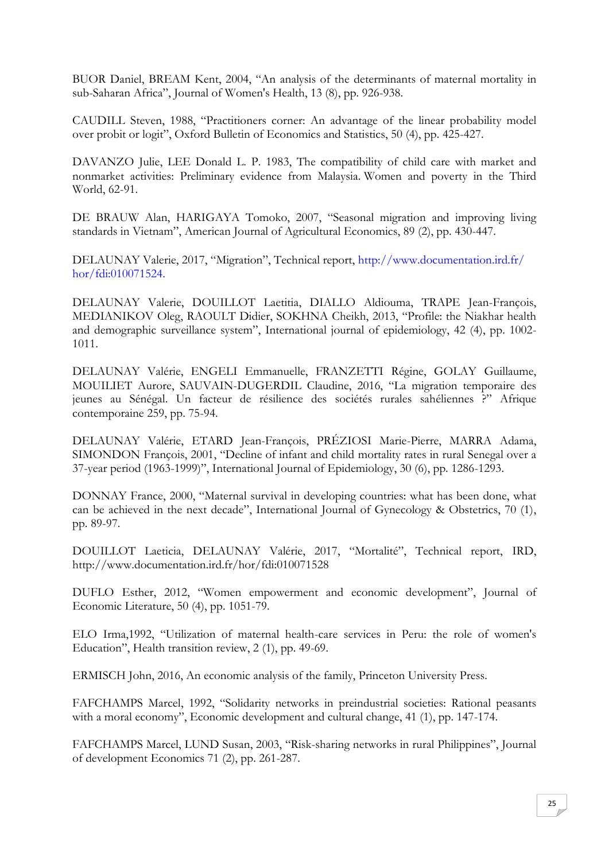BUOR Daniel, BREAM Kent, 2004, "An analysis of the determinants of maternal mortality in sub-Saharan Africa", Journal of Women's Health, 13 (8), pp. 926-938.

CAUDILL Steven, 1988, "Practitioners corner: An advantage of the linear probability model over probit or logit", Oxford Bulletin of Economics and Statistics, 50 (4), pp. 425-427.

DAVANZO Julie, LEE Donald L. P. 1983, The compatibility of child care with market and nonmarket activities: Preliminary evidence from Malaysia. Women and poverty in the Third World, 62-91.

DE BRAUW Alan, HARIGAYA Tomoko, 2007, "Seasonal migration and improving living standards in Vietnam", American Journal of Agricultural Economics, 89 (2), pp. 430-447.

DELAUNAY Valerie, 2017, "Migration", Technical report, http://www.documentation.ird.fr/ hor/fdi:010071524.

DELAUNAY Valerie, DOUILLOT Laetitia, DIALLO Aldiouma, TRAPE Jean-François, MEDIANIKOV Oleg, RAOULT Didier, SOKHNA Cheikh, 2013, "Profile: the Niakhar health and demographic surveillance system", International journal of epidemiology, 42 (4), pp. 1002- 1011.

DELAUNAY Valérie, ENGELI Emmanuelle, FRANZETTI Régine, GOLAY Guillaume, MOUILIET Aurore, SAUVAIN-DUGERDIL Claudine, 2016, "La migration temporaire des jeunes au Sénégal. Un facteur de résilience des sociétés rurales sahéliennes ?" Afrique contemporaine 259, pp. 75-94.

DELAUNAY Valérie, ETARD Jean-François, PRÉZIOSI Marie-Pierre, MARRA Adama, SIMONDON François, 2001, "Decline of infant and child mortality rates in rural Senegal over a 37-year period (1963-1999)", International Journal of Epidemiology, 30 (6), pp. 1286-1293.

DONNAY France, 2000, "Maternal survival in developing countries: what has been done, what can be achieved in the next decade", International Journal of Gynecology & Obstetrics, 70 (1), pp. 89-97.

DOUILLOT Laeticia, DELAUNAY Valérie, 2017, "Mortalité", Technical report, IRD, http://www.documentation.ird.fr/hor/fdi:010071528

DUFLO Esther, 2012, "Women empowerment and economic development", Journal of Economic Literature, 50 (4), pp. 1051-79.

ELO Irma,1992, "Utilization of maternal health-care services in Peru: the role of women's Education", Health transition review, 2 (1), pp. 49-69.

ERMISCH John, 2016, An economic analysis of the family, Princeton University Press.

FAFCHAMPS Marcel, 1992, "Solidarity networks in preindustrial societies: Rational peasants with a moral economy", Economic development and cultural change, 41 (1), pp. 147-174.

FAFCHAMPS Marcel, LUND Susan, 2003, "Risk-sharing networks in rural Philippines", Journal of development Economics 71 (2), pp. 261-287.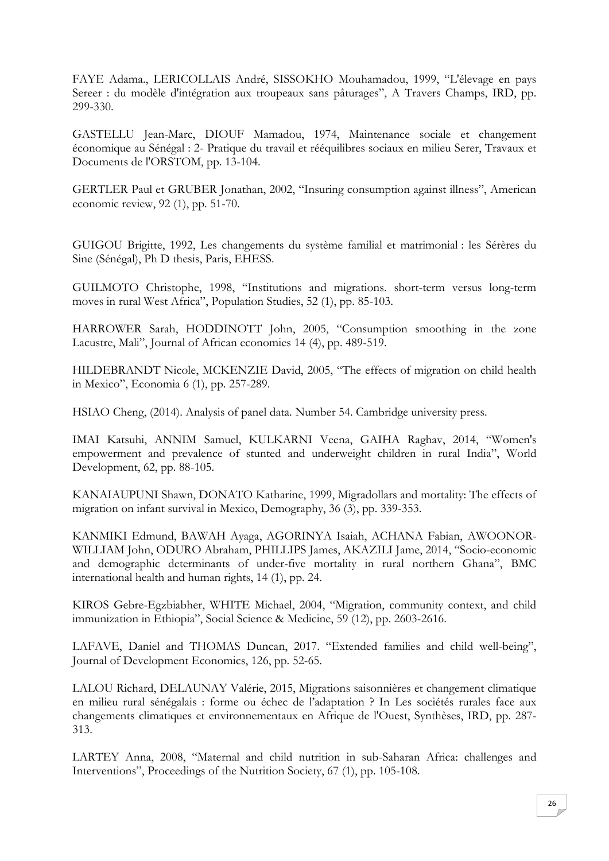FAYE Adama., LERICOLLAIS André, SISSOKHO Mouhamadou, 1999, "L'élevage en pays Sereer : du modèle d'intégration aux troupeaux sans pâturages", A Travers Champs, IRD, pp. 299-330.

GASTELLU Jean-Marc, DIOUF Mamadou, 1974, Maintenance sociale et changement économique au Sénégal : 2- Pratique du travail et rééquilibres sociaux en milieu Serer, Travaux et Documents de l'ORSTOM, pp. 13-104.

GERTLER Paul et GRUBER Jonathan, 2002, "Insuring consumption against illness", American economic review, 92 (1), pp. 51-70.

GUIGOU Brigitte, 1992, Les changements du système familial et matrimonial : les Sérères du Sine (Sénégal), Ph D thesis, Paris, EHESS.

GUILMOTO Christophe, 1998, "Institutions and migrations. short-term versus long-term moves in rural West Africa", Population Studies, 52 (1), pp. 85-103.

HARROWER Sarah, HODDINOTT John, 2005, "Consumption smoothing in the zone Lacustre, Mali", Journal of African economies 14 (4), pp. 489-519.

HILDEBRANDT Nicole, MCKENZIE David, 2005, "The effects of migration on child health in Mexico", Economia 6 (1), pp. 257-289.

HSIAO Cheng, (2014). Analysis of panel data. Number 54. Cambridge university press.

IMAI Katsuhi, ANNIM Samuel, KULKARNI Veena, GAIHA Raghav, 2014, "Women's empowerment and prevalence of stunted and underweight children in rural India", World Development, 62, pp. 88-105.

KANAIAUPUNI Shawn, DONATO Katharine, 1999, Migradollars and mortality: The effects of migration on infant survival in Mexico, Demography, 36 (3), pp. 339-353.

KANMIKI Edmund, BAWAH Ayaga, AGORINYA Isaiah, ACHANA Fabian, AWOONOR-WILLIAM John, ODURO Abraham, PHILLIPS James, AKAZILI Jame, 2014, "Socio-economic and demographic determinants of under-five mortality in rural northern Ghana", BMC international health and human rights, 14 (1), pp. 24.

KIROS Gebre-Egzbiabher, WHITE Michael, 2004, "Migration, community context, and child immunization in Ethiopia", Social Science & Medicine, 59 (12), pp. 2603-2616.

LAFAVE, Daniel and THOMAS Duncan, 2017. "Extended families and child well-being", Journal of Development Economics, 126, pp. 52-65.

LALOU Richard, DELAUNAY Valérie, 2015, Migrations saisonnières et changement climatique en milieu rural sénégalais : forme ou échec de l'adaptation ? In Les sociétés rurales face aux changements climatiques et environnementaux en Afrique de l'Ouest, Synthèses, IRD, pp. 287- 313.

LARTEY Anna, 2008, "Maternal and child nutrition in sub-Saharan Africa: challenges and Interventions", Proceedings of the Nutrition Society, 67 (1), pp. 105-108.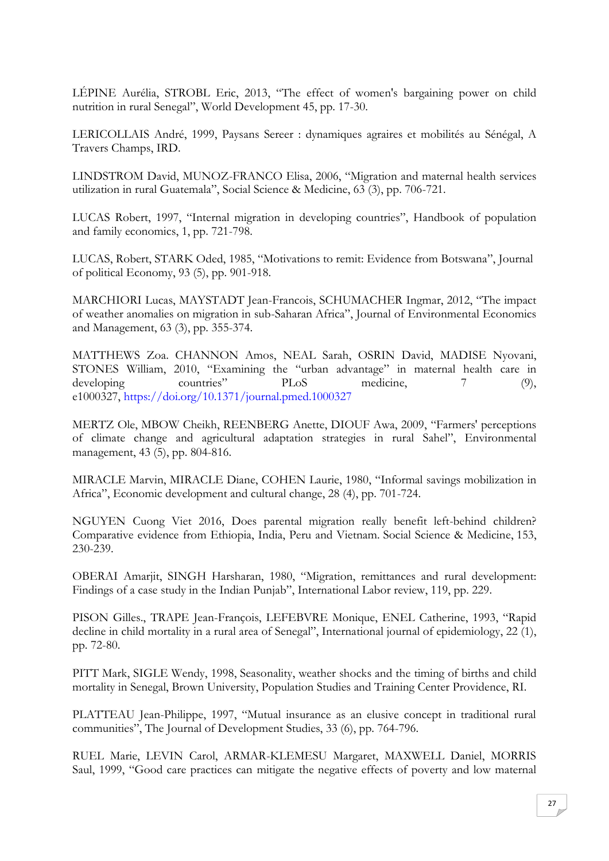LÉPINE Aurélia, STROBL Eric, 2013, "The effect of women's bargaining power on child nutrition in rural Senegal", World Development 45, pp. 17-30.

LERICOLLAIS André, 1999, Paysans Sereer : dynamiques agraires et mobilités au Sénégal, A Travers Champs, IRD.

LINDSTROM David, MUNOZ-FRANCO Elisa, 2006, "Migration and maternal health services utilization in rural Guatemala", Social Science & Medicine, 63 (3), pp. 706-721.

LUCAS Robert, 1997, "Internal migration in developing countries", Handbook of population and family economics, 1, pp. 721-798.

LUCAS, Robert, STARK Oded, 1985, "Motivations to remit: Evidence from Botswana", Journal of political Economy, 93 (5), pp. 901-918.

MARCHIORI Lucas, MAYSTADT Jean-Francois, SCHUMACHER Ingmar, 2012, "The impact of weather anomalies on migration in sub-Saharan Africa", Journal of Environmental Economics and Management, 63 (3), pp. 355-374.

MATTHEWS Zoa. CHANNON Amos, NEAL Sarah, OSRIN David, MADISE Nyovani, STONES William, 2010, "Examining the "urban advantage" in maternal health care in developing countries" PLoS medicine, 7 (9), e1000327, https://doi.org/10.1371/journal.pmed.1000327

MERTZ Ole, MBOW Cheikh, REENBERG Anette, DIOUF Awa, 2009, "Farmers' perceptions of climate change and agricultural adaptation strategies in rural Sahel", Environmental management, 43 (5), pp. 804-816.

MIRACLE Marvin, MIRACLE Diane, COHEN Laurie, 1980, "Informal savings mobilization in Africa", Economic development and cultural change, 28 (4), pp. 701-724.

NGUYEN Cuong Viet 2016, Does parental migration really benefit left-behind children? Comparative evidence from Ethiopia, India, Peru and Vietnam. Social Science & Medicine, 153, 230-239.

OBERAI Amarjit, SINGH Harsharan, 1980, "Migration, remittances and rural development: Findings of a case study in the Indian Punjab", International Labor review, 119, pp. 229.

PISON Gilles., TRAPE Jean-François, LEFEBVRE Monique, ENEL Catherine, 1993, "Rapid decline in child mortality in a rural area of Senegal", International journal of epidemiology, 22 (1), pp. 72-80.

PITT Mark, SIGLE Wendy, 1998, Seasonality, weather shocks and the timing of births and child mortality in Senegal, Brown University, Population Studies and Training Center Providence, RI.

PLATTEAU Jean-Philippe, 1997, "Mutual insurance as an elusive concept in traditional rural communities", The Journal of Development Studies, 33 (6), pp. 764-796.

RUEL Marie, LEVIN Carol, ARMAR-KLEMESU Margaret, MAXWELL Daniel, MORRIS Saul, 1999, "Good care practices can mitigate the negative effects of poverty and low maternal